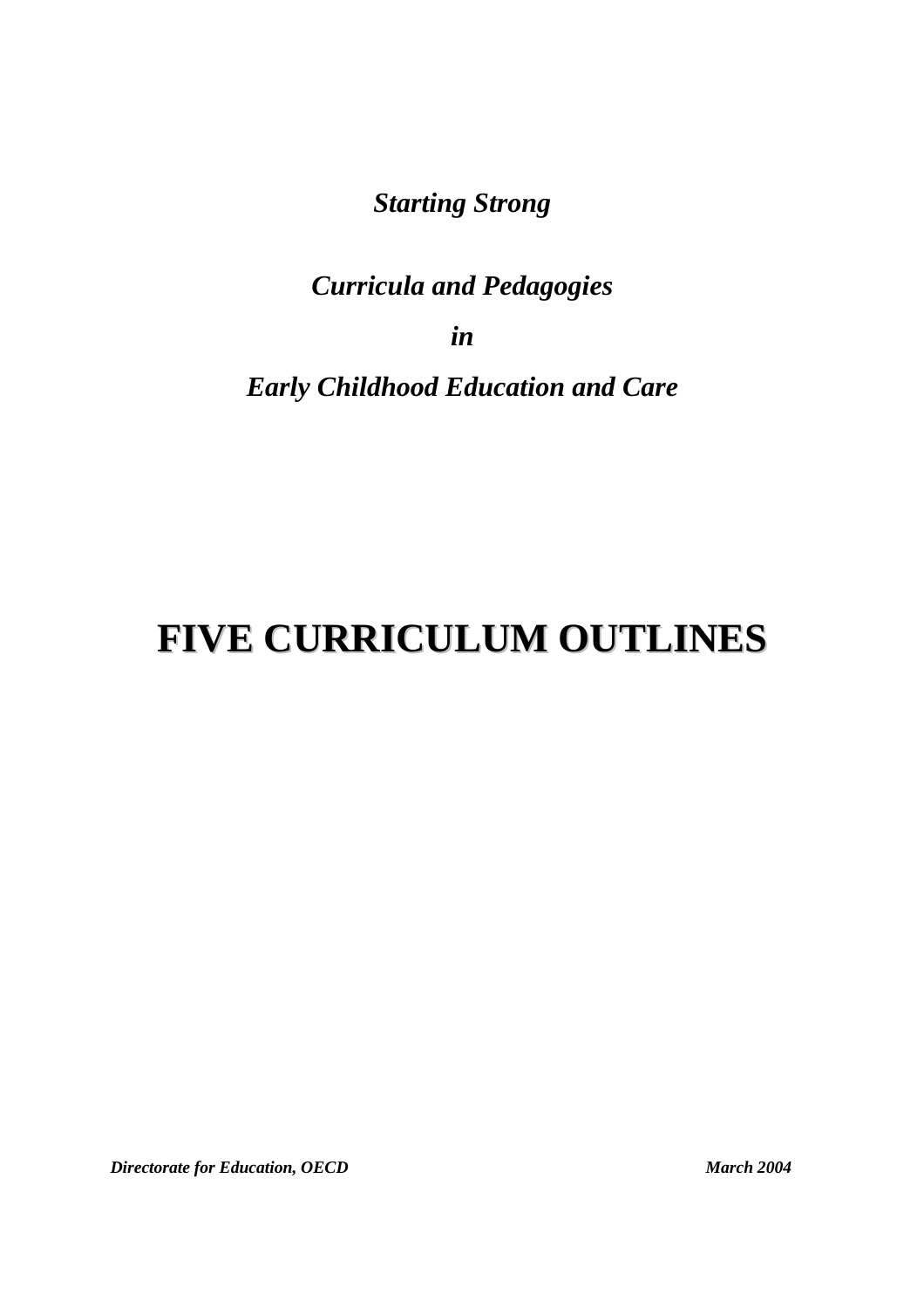*Starting Strong* 

*Curricula and Pedagogies* 

*in* 

*Early Childhood Education and Care* 

# **FIVE CURRICULUM OUTLINES**

**Directorate for Education, OECD** March 2004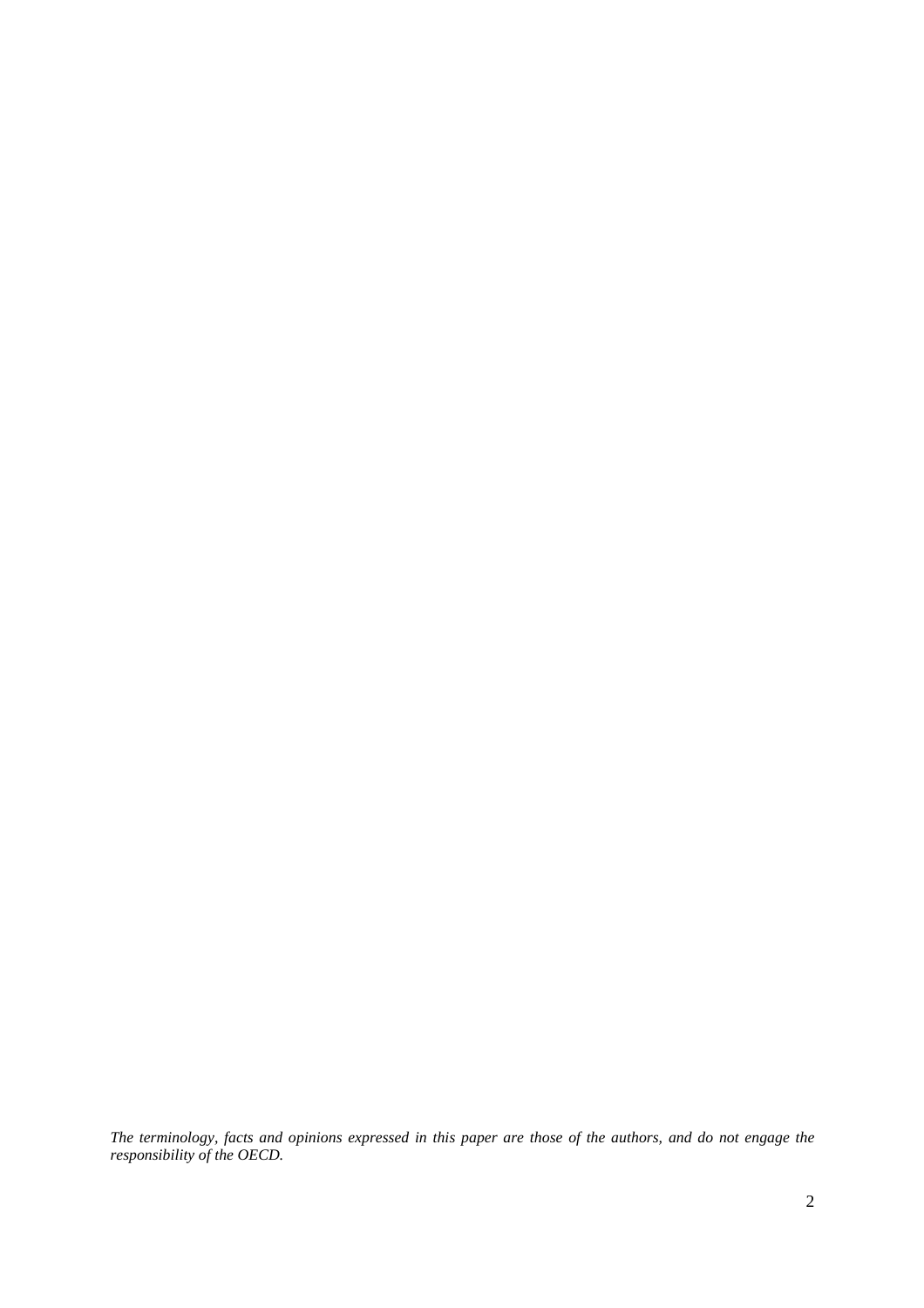*The terminology, facts and opinions expressed in this paper are those of the authors, and do not engage the responsibility of the OECD.*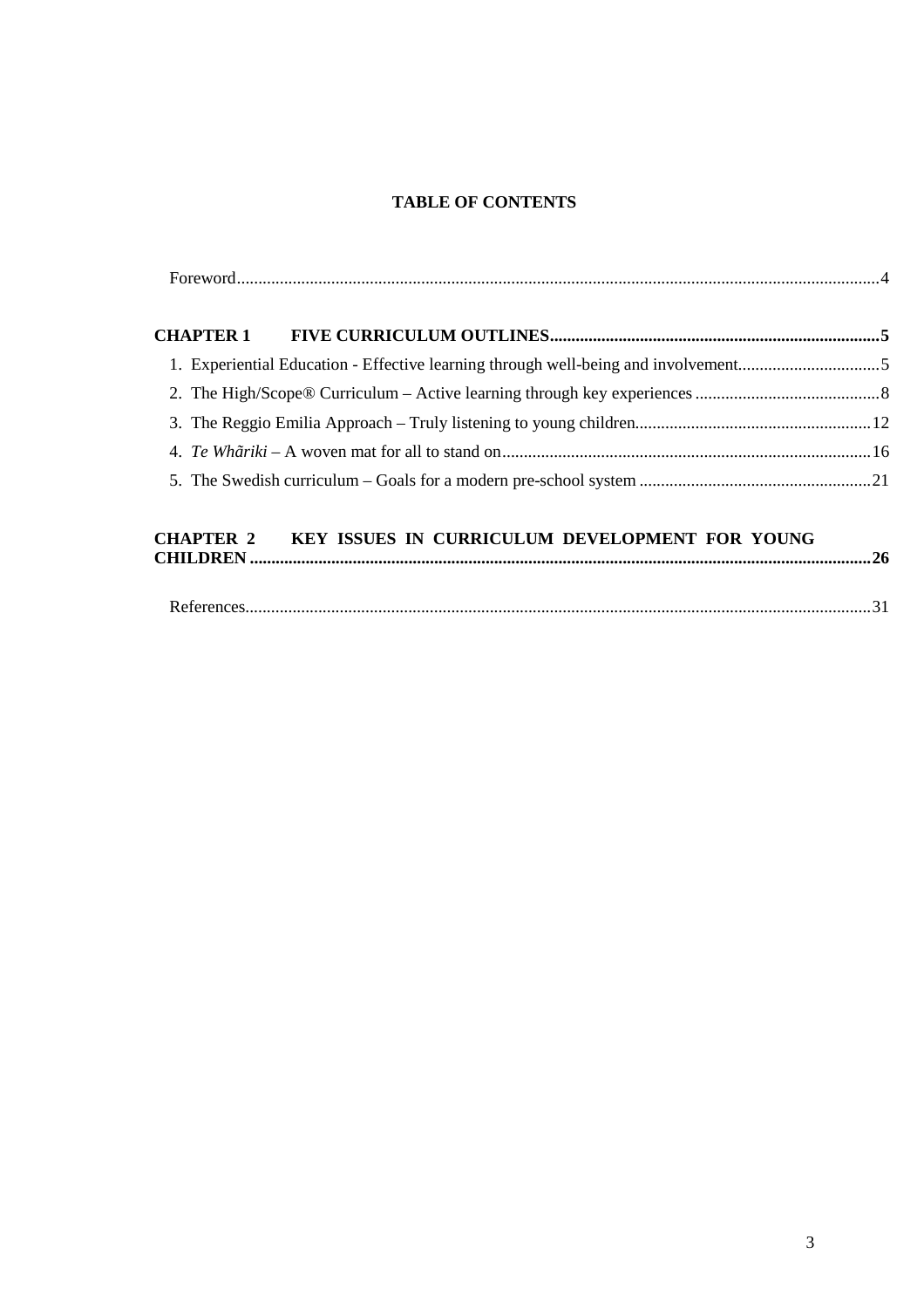# **TABLE OF CONTENTS**

| <b>CHAPTER 2</b> | KEY ISSUES IN CURRICULUM DEVELOPMENT FOR YOUNG |  |
|------------------|------------------------------------------------|--|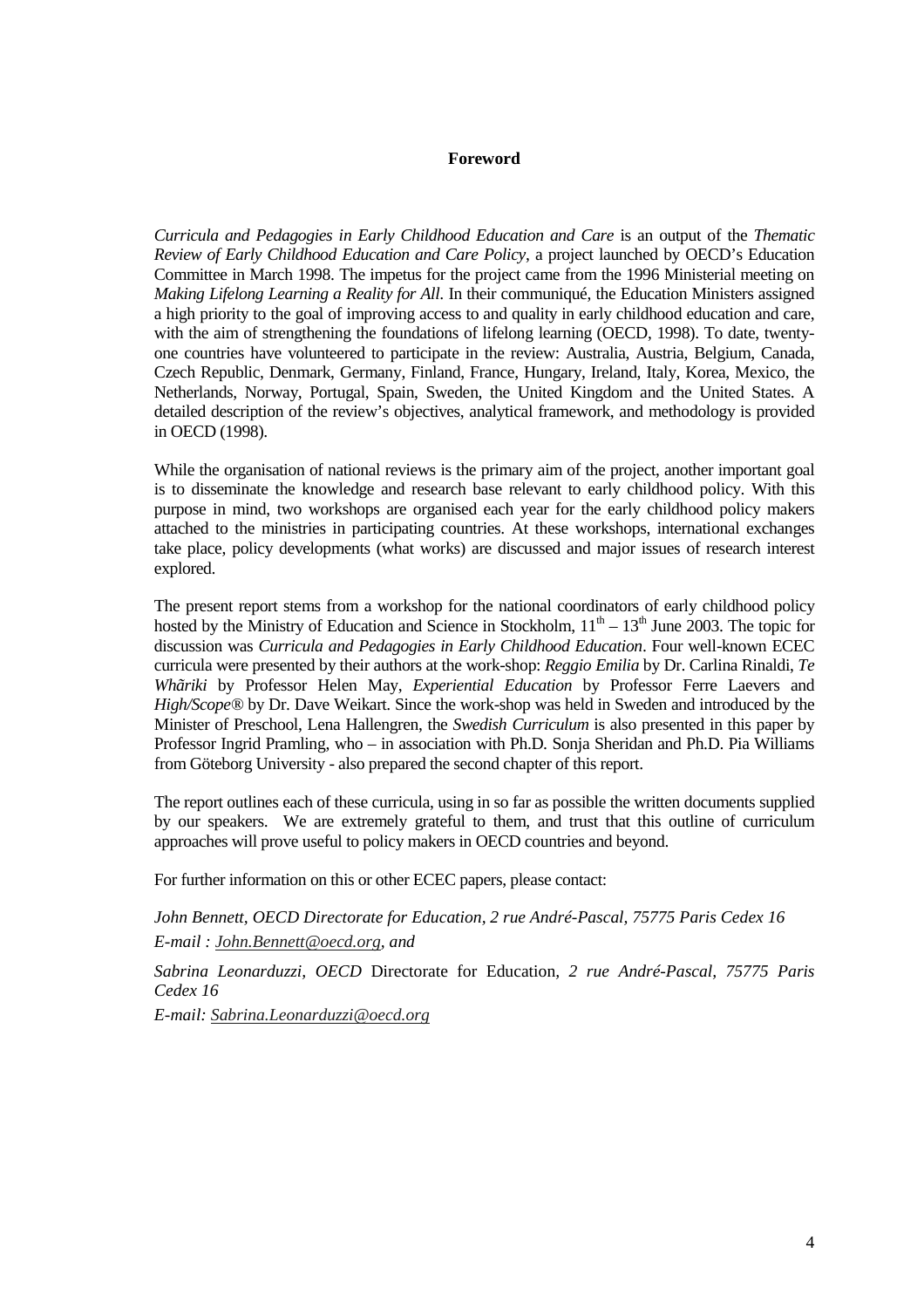## **Foreword**

*Curricula and Pedagogies in Early Childhood Education and Care* is an output of the *Thematic Review of Early Childhood Education and Care Policy*, a project launched by OECD's Education Committee in March 1998. The impetus for the project came from the 1996 Ministerial meeting on *Making Lifelong Learning a Reality for All*. In their communiqué, the Education Ministers assigned a high priority to the goal of improving access to and quality in early childhood education and care, with the aim of strengthening the foundations of lifelong learning (OECD, 1998). To date, twentyone countries have volunteered to participate in the review: Australia, Austria, Belgium, Canada, Czech Republic, Denmark, Germany, Finland, France, Hungary, Ireland, Italy, Korea, Mexico, the Netherlands, Norway, Portugal, Spain, Sweden, the United Kingdom and the United States. A detailed description of the review's objectives, analytical framework, and methodology is provided in OECD (1998).

While the organisation of national reviews is the primary aim of the project, another important goal is to disseminate the knowledge and research base relevant to early childhood policy. With this purpose in mind, two workshops are organised each year for the early childhood policy makers attached to the ministries in participating countries. At these workshops, international exchanges take place, policy developments (what works) are discussed and major issues of research interest explored.

The present report stems from a workshop for the national coordinators of early childhood policy hosted by the Ministry of Education and Science in Stockholm,  $11<sup>th</sup> - 13<sup>th</sup>$  June 2003. The topic for discussion was *Curricula and Pedagogies in Early Childhood Education*. Four well-known ECEC curricula were presented by their authors at the work-shop: *Reggio Emilia* by Dr. Carlina Rinaldi, *Te Whãriki* by Professor Helen May, *Experiential Education* by Professor Ferre Laevers and *High/Scope®* by Dr. Dave Weikart. Since the work-shop was held in Sweden and introduced by the Minister of Preschool, Lena Hallengren, the *Swedish Curriculum* is also presented in this paper by Professor Ingrid Pramling, who – in association with Ph.D. Sonja Sheridan and Ph.D. Pia Williams from Göteborg University - also prepared the second chapter of this report.

The report outlines each of these curricula, using in so far as possible the written documents supplied by our speakers. We are extremely grateful to them, and trust that this outline of curriculum approaches will prove useful to policy makers in OECD countries and beyond.

For further information on this or other ECEC papers, please contact:

*John Bennett, OECD Directorate for Education, 2 rue André-Pascal, 75775 Paris Cedex 16 E-mail : John.Bennett@oecd.org, and* 

*Sabrina Leonarduzzi, OECD* Directorate for Education*, 2 rue André-Pascal, 75775 Paris Cedex 16* 

*E-mail: Sabrina.Leonarduzzi@oecd.org*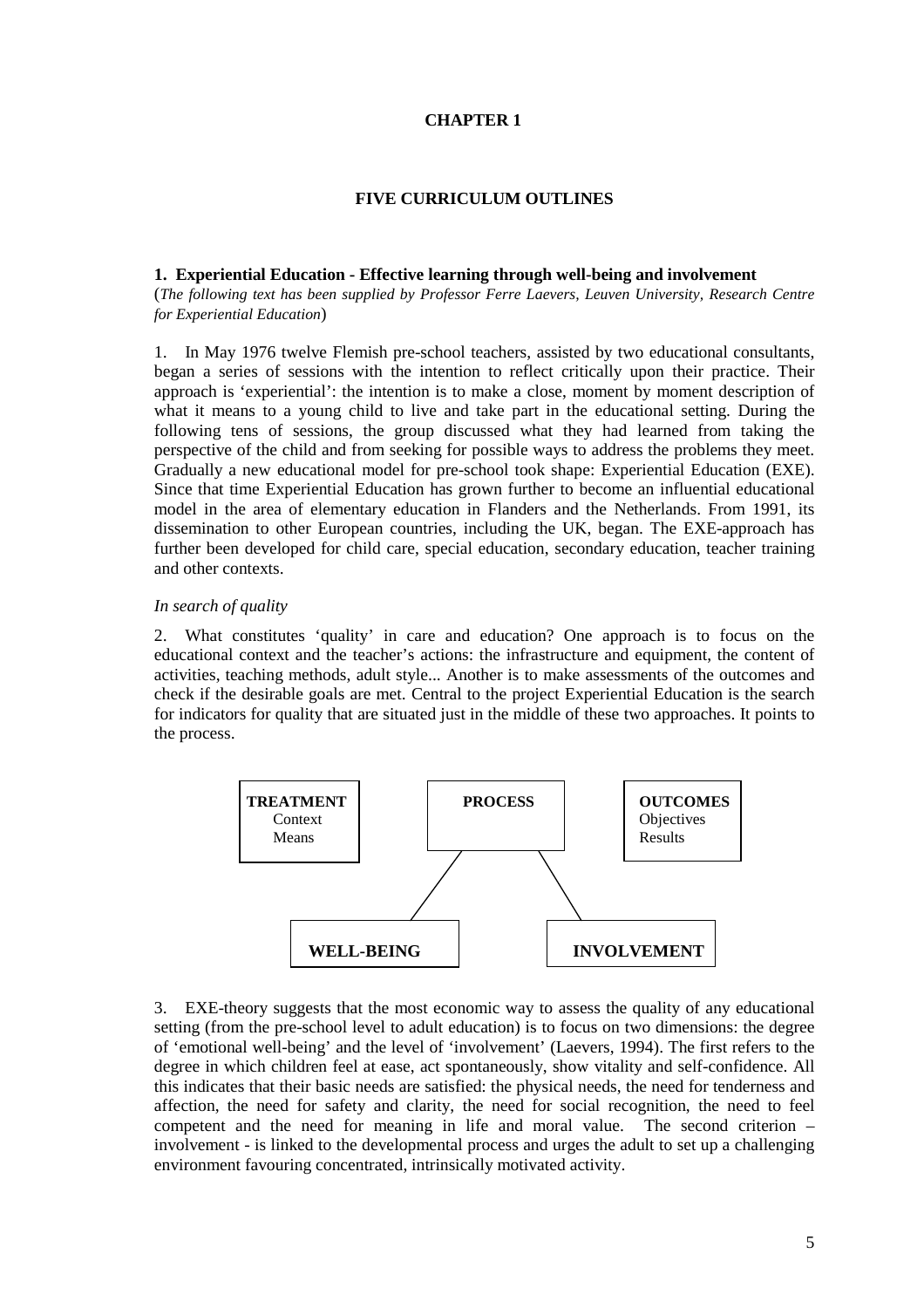#### **CHAPTER 1**

#### **FIVE CURRICULUM OUTLINES**

#### **1. Experiential Education - Effective learning through well-being and involvement**

(*The following text has been supplied by Professor Ferre Laevers, Leuven University, Research Centre for Experiential Education*)

1. In May 1976 twelve Flemish pre-school teachers, assisted by two educational consultants, began a series of sessions with the intention to reflect critically upon their practice. Their approach is 'experiential': the intention is to make a close, moment by moment description of what it means to a young child to live and take part in the educational setting. During the following tens of sessions, the group discussed what they had learned from taking the perspective of the child and from seeking for possible ways to address the problems they meet. Gradually a new educational model for pre-school took shape: Experiential Education (EXE). Since that time Experiential Education has grown further to become an influential educational model in the area of elementary education in Flanders and the Netherlands. From 1991, its dissemination to other European countries, including the UK, began. The EXE-approach has further been developed for child care, special education, secondary education, teacher training and other contexts.

#### *In search of quality*

2. What constitutes 'quality' in care and education? One approach is to focus on the educational context and the teacher's actions: the infrastructure and equipment, the content of activities, teaching methods, adult style... Another is to make assessments of the outcomes and check if the desirable goals are met. Central to the project Experiential Education is the search for indicators for quality that are situated just in the middle of these two approaches. It points to the process.



3. EXE-theory suggests that the most economic way to assess the quality of any educational setting (from the pre-school level to adult education) is to focus on two dimensions: the degree of 'emotional well-being' and the level of 'involvement' (Laevers, 1994). The first refers to the degree in which children feel at ease, act spontaneously, show vitality and self-confidence. All this indicates that their basic needs are satisfied: the physical needs, the need for tenderness and affection, the need for safety and clarity, the need for social recognition, the need to feel competent and the need for meaning in life and moral value. The second criterion – involvement - is linked to the developmental process and urges the adult to set up a challenging environment favouring concentrated, intrinsically motivated activity.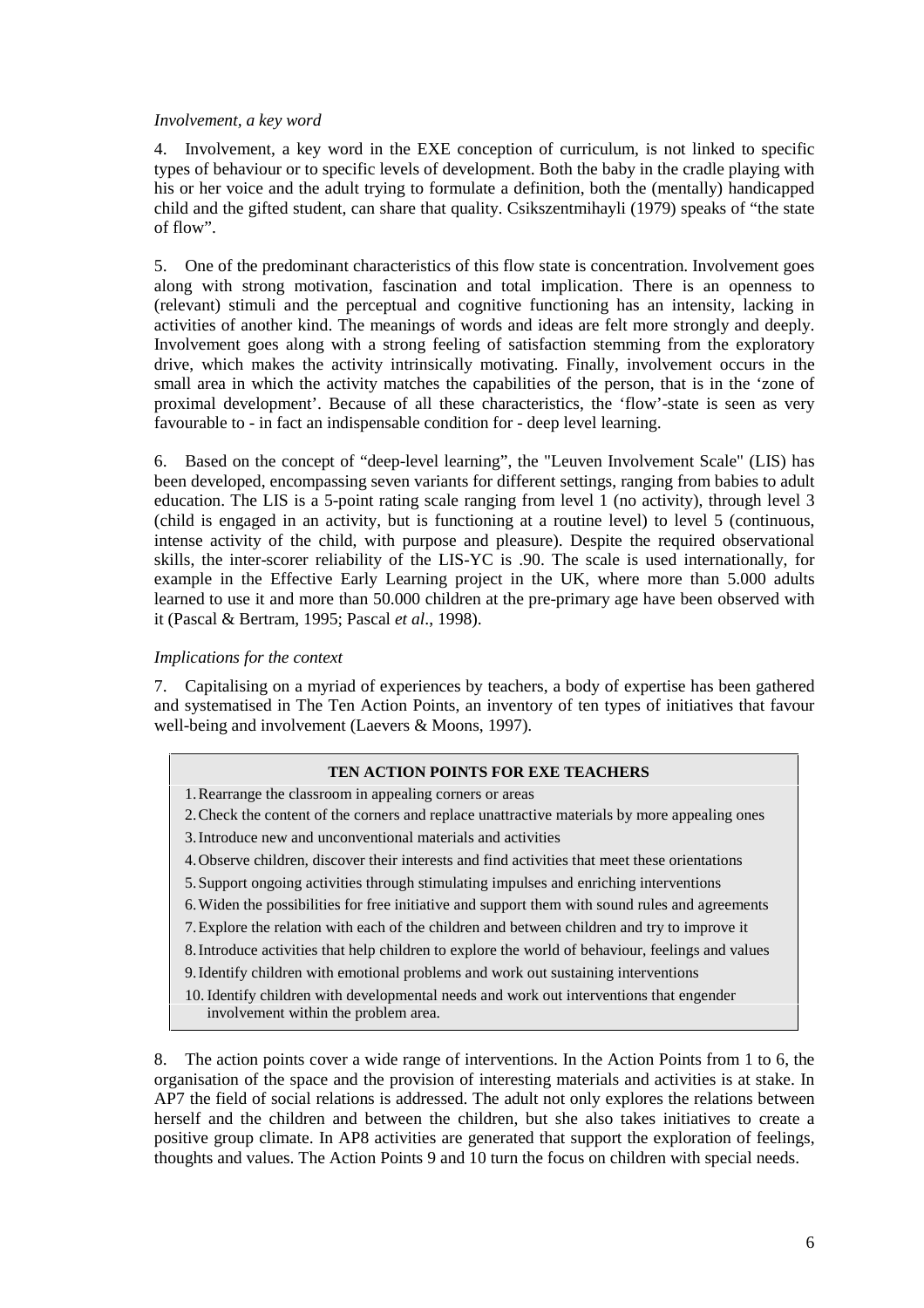#### *Involvement, a key word*

4. Involvement, a key word in the EXE conception of curriculum, is not linked to specific types of behaviour or to specific levels of development. Both the baby in the cradle playing with his or her voice and the adult trying to formulate a definition, both the (mentally) handicapped child and the gifted student, can share that quality. Csikszentmihayli (1979) speaks of "the state of flow".

5. One of the predominant characteristics of this flow state is concentration. Involvement goes along with strong motivation, fascination and total implication. There is an openness to (relevant) stimuli and the perceptual and cognitive functioning has an intensity, lacking in activities of another kind. The meanings of words and ideas are felt more strongly and deeply. Involvement goes along with a strong feeling of satisfaction stemming from the exploratory drive, which makes the activity intrinsically motivating. Finally, involvement occurs in the small area in which the activity matches the capabilities of the person, that is in the 'zone of proximal development'. Because of all these characteristics, the 'flow'-state is seen as very favourable to - in fact an indispensable condition for - deep level learning.

6. Based on the concept of "deep-level learning", the "Leuven Involvement Scale" (LIS) has been developed, encompassing seven variants for different settings, ranging from babies to adult education. The LIS is a 5-point rating scale ranging from level 1 (no activity), through level 3 (child is engaged in an activity, but is functioning at a routine level) to level 5 (continuous, intense activity of the child, with purpose and pleasure). Despite the required observational skills, the inter-scorer reliability of the LIS-YC is .90. The scale is used internationally, for example in the Effective Early Learning project in the UK, where more than 5.000 adults learned to use it and more than 50.000 children at the pre-primary age have been observed with it (Pascal & Bertram, 1995; Pascal *et al*., 1998).

#### *Implications for the context*

7. Capitalising on a myriad of experiences by teachers, a body of expertise has been gathered and systematised in The Ten Action Points, an inventory of ten types of initiatives that favour well-being and involvement (Laevers & Moons, 1997).

#### **TEN ACTION POINTS FOR EXE TEACHERS**

- 1.Rearrange the classroom in appealing corners or areas
- 2.Check the content of the corners and replace unattractive materials by more appealing ones
- 3.Introduce new and unconventional materials and activities
- 4.Observe children, discover their interests and find activities that meet these orientations
- 5.Support ongoing activities through stimulating impulses and enriching interventions
- 6.Widen the possibilities for free initiative and support them with sound rules and agreements
- 7.Explore the relation with each of the children and between children and try to improve it
- 8.Introduce activities that help children to explore the world of behaviour, feelings and values
- 9.Identify children with emotional problems and work out sustaining interventions
- 10. Identify children with developmental needs and work out interventions that engender involvement within the problem area.

8. The action points cover a wide range of interventions. In the Action Points from 1 to 6, the organisation of the space and the provision of interesting materials and activities is at stake. In AP7 the field of social relations is addressed. The adult not only explores the relations between herself and the children and between the children, but she also takes initiatives to create a positive group climate. In AP8 activities are generated that support the exploration of feelings, thoughts and values. The Action Points 9 and 10 turn the focus on children with special needs.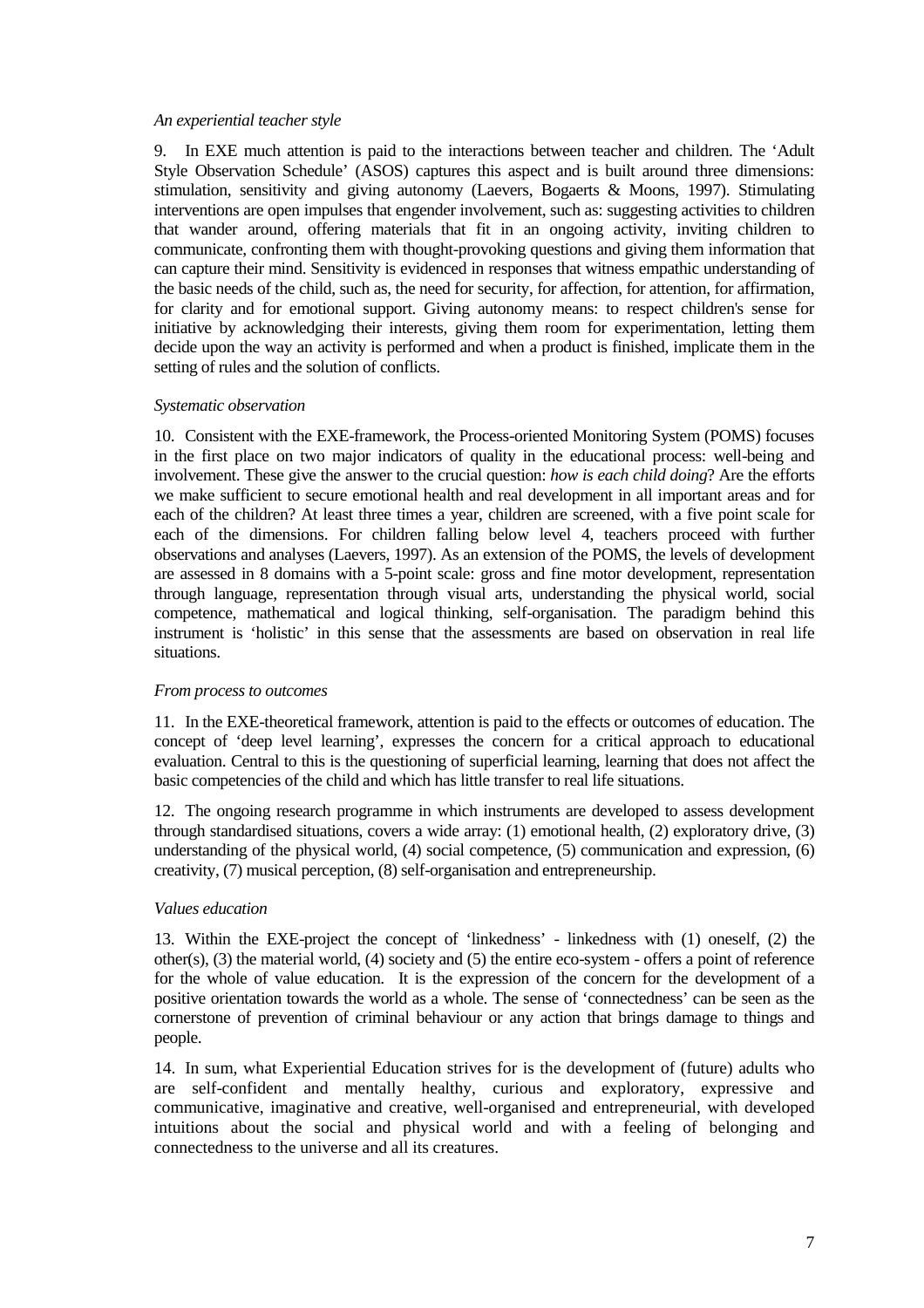#### *An experiential teacher style*

9. In EXE much attention is paid to the interactions between teacher and children. The 'Adult Style Observation Schedule' (ASOS) captures this aspect and is built around three dimensions: stimulation, sensitivity and giving autonomy (Laevers, Bogaerts & Moons, 1997). Stimulating interventions are open impulses that engender involvement, such as: suggesting activities to children that wander around, offering materials that fit in an ongoing activity, inviting children to communicate, confronting them with thought-provoking questions and giving them information that can capture their mind. Sensitivity is evidenced in responses that witness empathic understanding of the basic needs of the child, such as, the need for security, for affection, for attention, for affirmation, for clarity and for emotional support. Giving autonomy means: to respect children's sense for initiative by acknowledging their interests, giving them room for experimentation, letting them decide upon the way an activity is performed and when a product is finished, implicate them in the setting of rules and the solution of conflicts.

#### *Systematic observation*

10. Consistent with the EXE-framework, the Process-oriented Monitoring System (POMS) focuses in the first place on two major indicators of quality in the educational process: well-being and involvement. These give the answer to the crucial question: *how is each child doing*? Are the efforts we make sufficient to secure emotional health and real development in all important areas and for each of the children? At least three times a year, children are screened, with a five point scale for each of the dimensions. For children falling below level 4, teachers proceed with further observations and analyses (Laevers, 1997). As an extension of the POMS, the levels of development are assessed in 8 domains with a 5-point scale: gross and fine motor development, representation through language, representation through visual arts, understanding the physical world, social competence, mathematical and logical thinking, self-organisation. The paradigm behind this instrument is 'holistic' in this sense that the assessments are based on observation in real life situations.

#### *From process to outcomes*

11. In the EXE-theoretical framework, attention is paid to the effects or outcomes of education. The concept of 'deep level learning', expresses the concern for a critical approach to educational evaluation. Central to this is the questioning of superficial learning, learning that does not affect the basic competencies of the child and which has little transfer to real life situations.

12. The ongoing research programme in which instruments are developed to assess development through standardised situations, covers a wide array: (1) emotional health, (2) exploratory drive, (3) understanding of the physical world, (4) social competence, (5) communication and expression, (6) creativity, (7) musical perception, (8) self-organisation and entrepreneurship.

## *Values education*

13. Within the EXE-project the concept of 'linkedness' - linkedness with (1) oneself, (2) the other(s), (3) the material world, (4) society and (5) the entire eco-system - offers a point of reference for the whole of value education. It is the expression of the concern for the development of a positive orientation towards the world as a whole. The sense of 'connectedness' can be seen as the cornerstone of prevention of criminal behaviour or any action that brings damage to things and people.

14. In sum, what Experiential Education strives for is the development of (future) adults who are self-confident and mentally healthy, curious and exploratory, expressive and communicative, imaginative and creative, well-organised and entrepreneurial, with developed intuitions about the social and physical world and with a feeling of belonging and connectedness to the universe and all its creatures.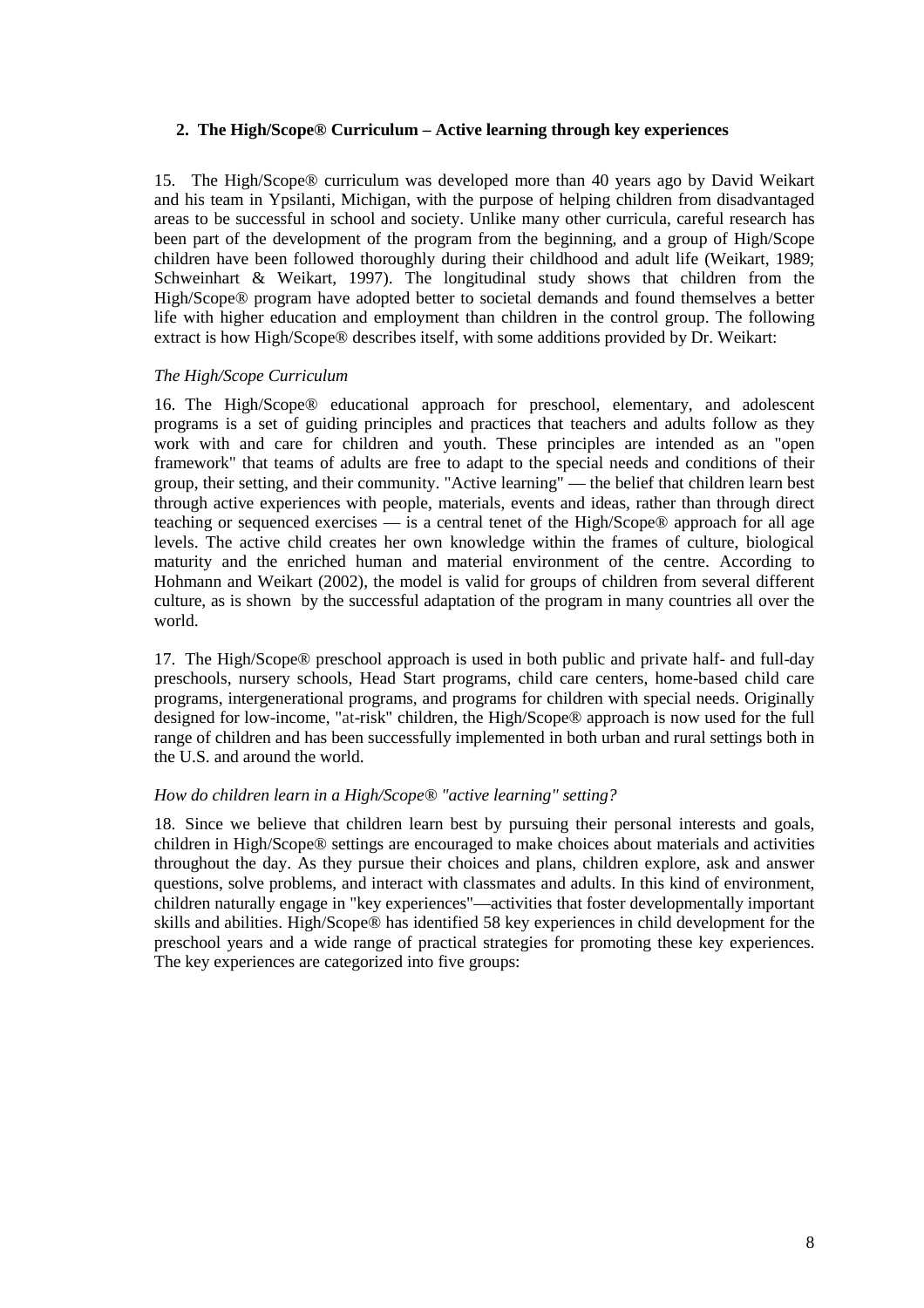#### **2. The High/Scope® Curriculum – Active learning through key experiences**

15. The High/Scope® curriculum was developed more than 40 years ago by David Weikart and his team in Ypsilanti, Michigan, with the purpose of helping children from disadvantaged areas to be successful in school and society. Unlike many other curricula, careful research has been part of the development of the program from the beginning, and a group of High/Scope children have been followed thoroughly during their childhood and adult life (Weikart, 1989; Schweinhart & Weikart, 1997). The longitudinal study shows that children from the High/Scope® program have adopted better to societal demands and found themselves a better life with higher education and employment than children in the control group. The following extract is how High/Scope® describes itself, with some additions provided by Dr. Weikart:

#### *The High/Scope Curriculum*

16. The High/Scope® educational approach for preschool, elementary, and adolescent programs is a set of guiding principles and practices that teachers and adults follow as they work with and care for children and youth. These principles are intended as an "open framework" that teams of adults are free to adapt to the special needs and conditions of their group, their setting, and their community. "Active learning" — the belief that children learn best through active experiences with people, materials, events and ideas, rather than through direct teaching or sequenced exercises — is a central tenet of the High/Scope® approach for all age levels. The active child creates her own knowledge within the frames of culture, biological maturity and the enriched human and material environment of the centre. According to Hohmann and Weikart (2002), the model is valid for groups of children from several different culture, as is shown by the successful adaptation of the program in many countries all over the world.

17. The High/Scope® preschool approach is used in both public and private half- and full-day preschools, nursery schools, Head Start programs, child care centers, home-based child care programs, intergenerational programs, and programs for children with special needs. Originally designed for low-income, "at-risk" children, the High/Scope® approach is now used for the full range of children and has been successfully implemented in both urban and rural settings both in the U.S. and around the world.

#### *How do children learn in a High/Scope® "active learning" setting?*

18. Since we believe that children learn best by pursuing their personal interests and goals, children in High/Scope® settings are encouraged to make choices about materials and activities throughout the day. As they pursue their choices and plans, children explore, ask and answer questions, solve problems, and interact with classmates and adults. In this kind of environment, children naturally engage in "key experiences"—activities that foster developmentally important skills and abilities. High/Scope® has identified 58 key experiences in child development for the preschool years and a wide range of practical strategies for promoting these key experiences. The key experiences are categorized into five groups: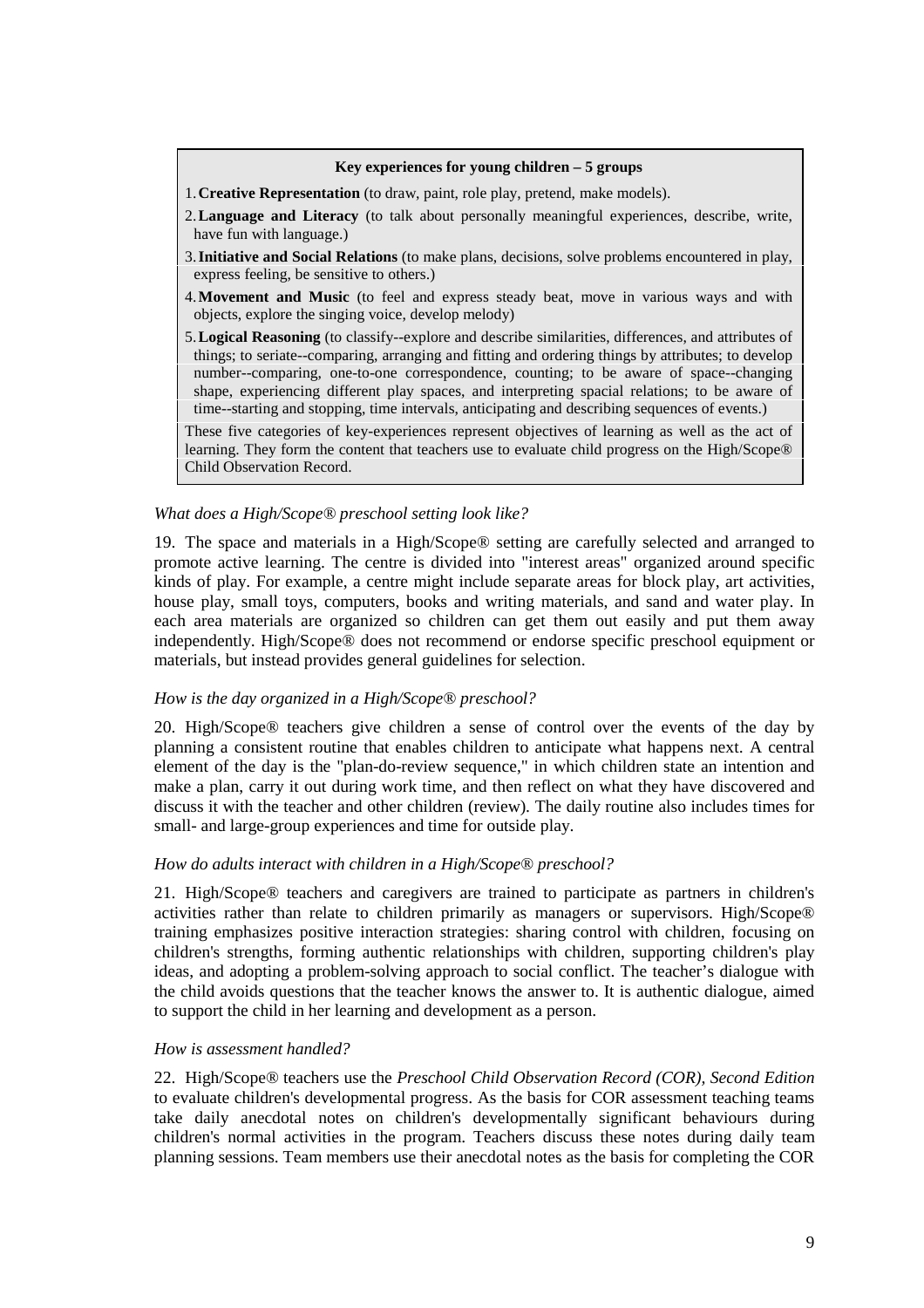#### **Key experiences for young children – 5 groups**

- 1.**Creative Representation** (to draw, paint, role play, pretend, make models).
- 2.**Language and Literacy** (to talk about personally meaningful experiences, describe, write, have fun with language.)
- 3.**Initiative and Social Relations** (to make plans, decisions, solve problems encountered in play, express feeling, be sensitive to others.)
- 4.**Movement and Music** (to feel and express steady beat, move in various ways and with objects, explore the singing voice, develop melody)
- 5.**Logical Reasoning** (to classify--explore and describe similarities, differences, and attributes of things; to seriate--comparing, arranging and fitting and ordering things by attributes; to develop number--comparing, one-to-one correspondence, counting; to be aware of space--changing shape, experiencing different play spaces, and interpreting spacial relations; to be aware of time--starting and stopping, time intervals, anticipating and describing sequences of events.)

These five categories of key-experiences represent objectives of learning as well as the act of learning. They form the content that teachers use to evaluate child progress on the High/Scope® Child Observation Record.

#### *What does a High/Scope® preschool setting look like?*

19. The space and materials in a High/Scope® setting are carefully selected and arranged to promote active learning. The centre is divided into "interest areas" organized around specific kinds of play. For example, a centre might include separate areas for block play, art activities, house play, small toys, computers, books and writing materials, and sand and water play. In each area materials are organized so children can get them out easily and put them away independently. High/Scope® does not recommend or endorse specific preschool equipment or materials, but instead provides general guidelines for selection.

## *How is the day organized in a High/Scope® preschool?*

20. High/Scope® teachers give children a sense of control over the events of the day by planning a consistent routine that enables children to anticipate what happens next. A central element of the day is the "plan-do-review sequence," in which children state an intention and make a plan, carry it out during work time, and then reflect on what they have discovered and discuss it with the teacher and other children (review). The daily routine also includes times for small- and large-group experiences and time for outside play.

#### *How do adults interact with children in a High/Scope® preschool?*

21. High/Scope® teachers and caregivers are trained to participate as partners in children's activities rather than relate to children primarily as managers or supervisors. High/Scope® training emphasizes positive interaction strategies: sharing control with children, focusing on children's strengths, forming authentic relationships with children, supporting children's play ideas, and adopting a problem-solving approach to social conflict. The teacher's dialogue with the child avoids questions that the teacher knows the answer to. It is authentic dialogue, aimed to support the child in her learning and development as a person.

#### *How is assessment handled?*

22. High/Scope® teachers use the *Preschool Child Observation Record (COR), Second Edition* to evaluate children's developmental progress. As the basis for COR assessment teaching teams take daily anecdotal notes on children's developmentally significant behaviours during children's normal activities in the program. Teachers discuss these notes during daily team planning sessions. Team members use their anecdotal notes as the basis for completing the COR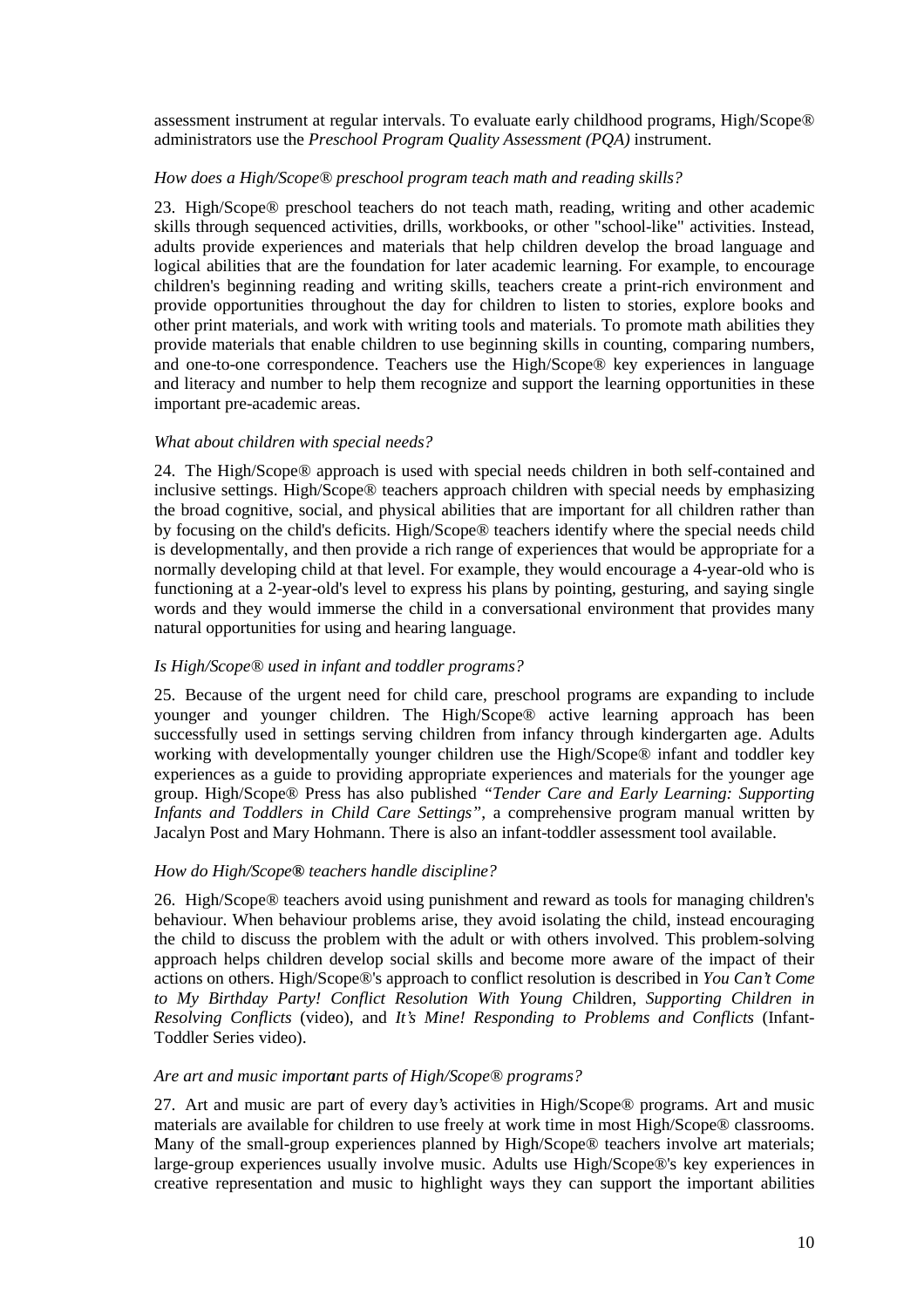assessment instrument at regular intervals. To evaluate early childhood programs, High/Scope® administrators use the *Preschool Program Quality Assessment (PQA)* instrument.

# *How does a High/Scope® preschool program teach math and reading skills?*

23. High/Scope® preschool teachers do not teach math, reading, writing and other academic skills through sequenced activities, drills, workbooks, or other "school-like" activities. Instead, adults provide experiences and materials that help children develop the broad language and logical abilities that are the foundation for later academic learning. For example, to encourage children's beginning reading and writing skills, teachers create a print-rich environment and provide opportunities throughout the day for children to listen to stories, explore books and other print materials, and work with writing tools and materials. To promote math abilities they provide materials that enable children to use beginning skills in counting, comparing numbers, and one-to-one correspondence. Teachers use the High/Scope® key experiences in language and literacy and number to help them recognize and support the learning opportunities in these important pre-academic areas.

# *What about children with special needs?*

24. The High/Scope® approach is used with special needs children in both self-contained and inclusive settings. High/Scope® teachers approach children with special needs by emphasizing the broad cognitive, social, and physical abilities that are important for all children rather than by focusing on the child's deficits. High/Scope® teachers identify where the special needs child is developmentally, and then provide a rich range of experiences that would be appropriate for a normally developing child at that level. For example, they would encourage a 4-year-old who is functioning at a 2-year-old's level to express his plans by pointing, gesturing, and saying single words and they would immerse the child in a conversational environment that provides many natural opportunities for using and hearing language.

#### *Is High/Scope® used in infant and toddler programs?*

25. Because of the urgent need for child care, preschool programs are expanding to include younger and younger children. The High/Scope® active learning approach has been successfully used in settings serving children from infancy through kindergarten age. Adults working with developmentally younger children use the High/Scope® infant and toddler key experiences as a guide to providing appropriate experiences and materials for the younger age group. High/Scope® Press has also published *"Tender Care and Early Learning: Supporting Infants and Toddlers in Child Care Settings"*, a comprehensive program manual written by Jacalyn Post and Mary Hohmann. There is also an infant-toddler assessment tool available.

#### *How do High/Scope® teachers handle discipline?*

26. High/Scope® teachers avoid using punishment and reward as tools for managing children's behaviour. When behaviour problems arise, they avoid isolating the child, instead encouraging the child to discuss the problem with the adult or with others involved. This problem-solving approach helps children develop social skills and become more aware of the impact of their actions on others. High/Scope®'s approach to conflict resolution is described in *You Can't Come to My Birthday Party! Conflict Resolution With Young Ch*ildren, *Supporting Children in Resolving Conflicts* (video), and *It's Mine! Responding to Problems and Conflicts* (Infant-Toddler Series video).

#### *Are art and music important parts of High/Scope® programs?*

27. Art and music are part of every day's activities in High/Scope® programs. Art and music materials are available for children to use freely at work time in most High/Scope® classrooms. Many of the small-group experiences planned by High/Scope® teachers involve art materials; large-group experiences usually involve music. Adults use High/Scope®'s key experiences in creative representation and music to highlight ways they can support the important abilities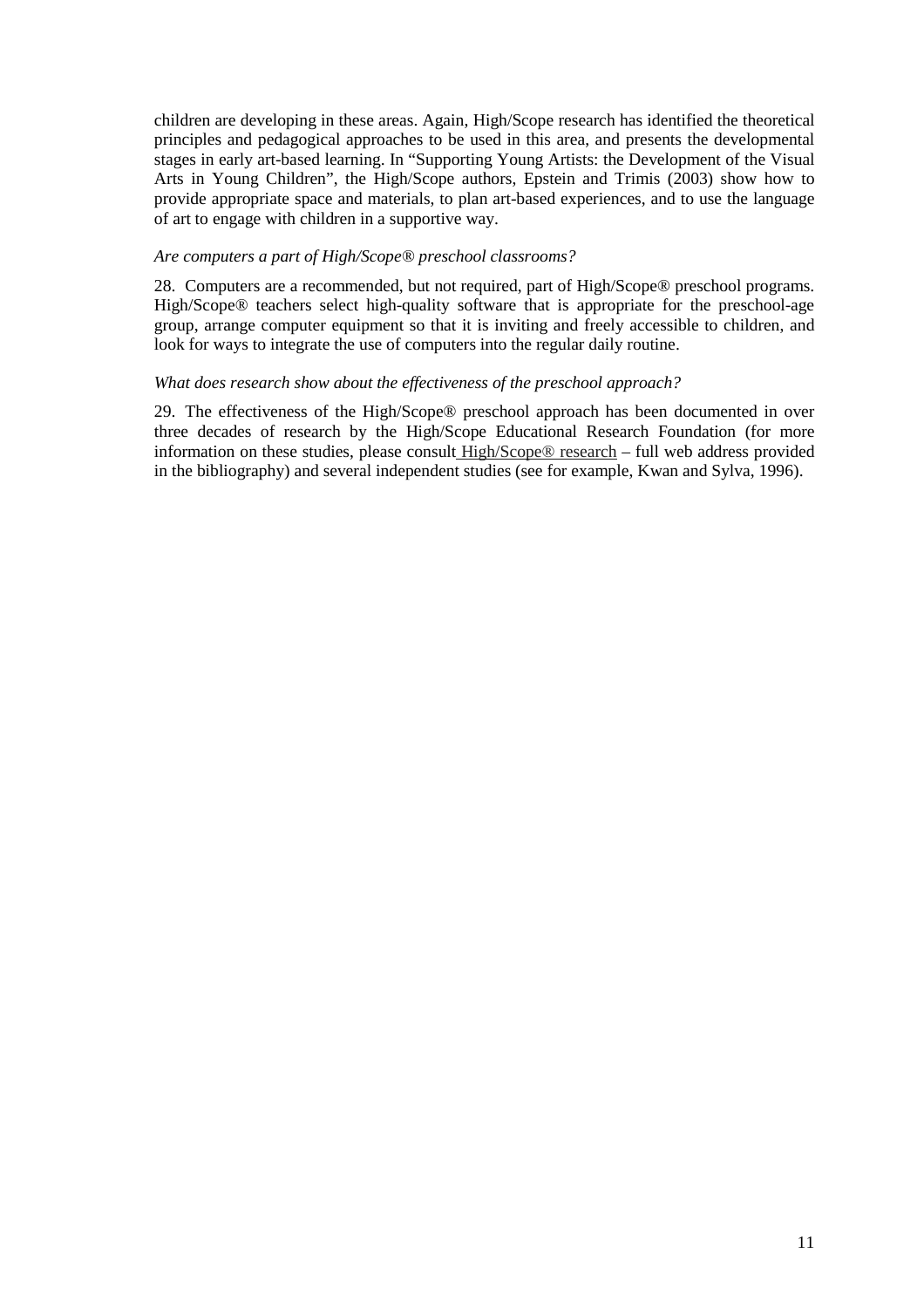children are developing in these areas. Again, High/Scope research has identified the theoretical principles and pedagogical approaches to be used in this area, and presents the developmental stages in early art-based learning. In "Supporting Young Artists: the Development of the Visual Arts in Young Children", the High/Scope authors, Epstein and Trimis (2003) show how to provide appropriate space and materials, to plan art-based experiences, and to use the language of art to engage with children in a supportive way.

#### *Are computers a part of High/Scope® preschool classrooms?*

28. Computers are a recommended, but not required, part of High/Scope® preschool programs. High/Scope® teachers select high-quality software that is appropriate for the preschool-age group, arrange computer equipment so that it is inviting and freely accessible to children, and look for ways to integrate the use of computers into the regular daily routine.

#### *What does research show about the effectiveness of the preschool approach?*

29. The effectiveness of the High/Scope® preschool approach has been documented in over three decades of research by the High/Scope Educational Research Foundation (for more information on these studies, please consult High/Scope® research – full web address provided in the bibliography) and several independent studies (see for example, Kwan and Sylva, 1996).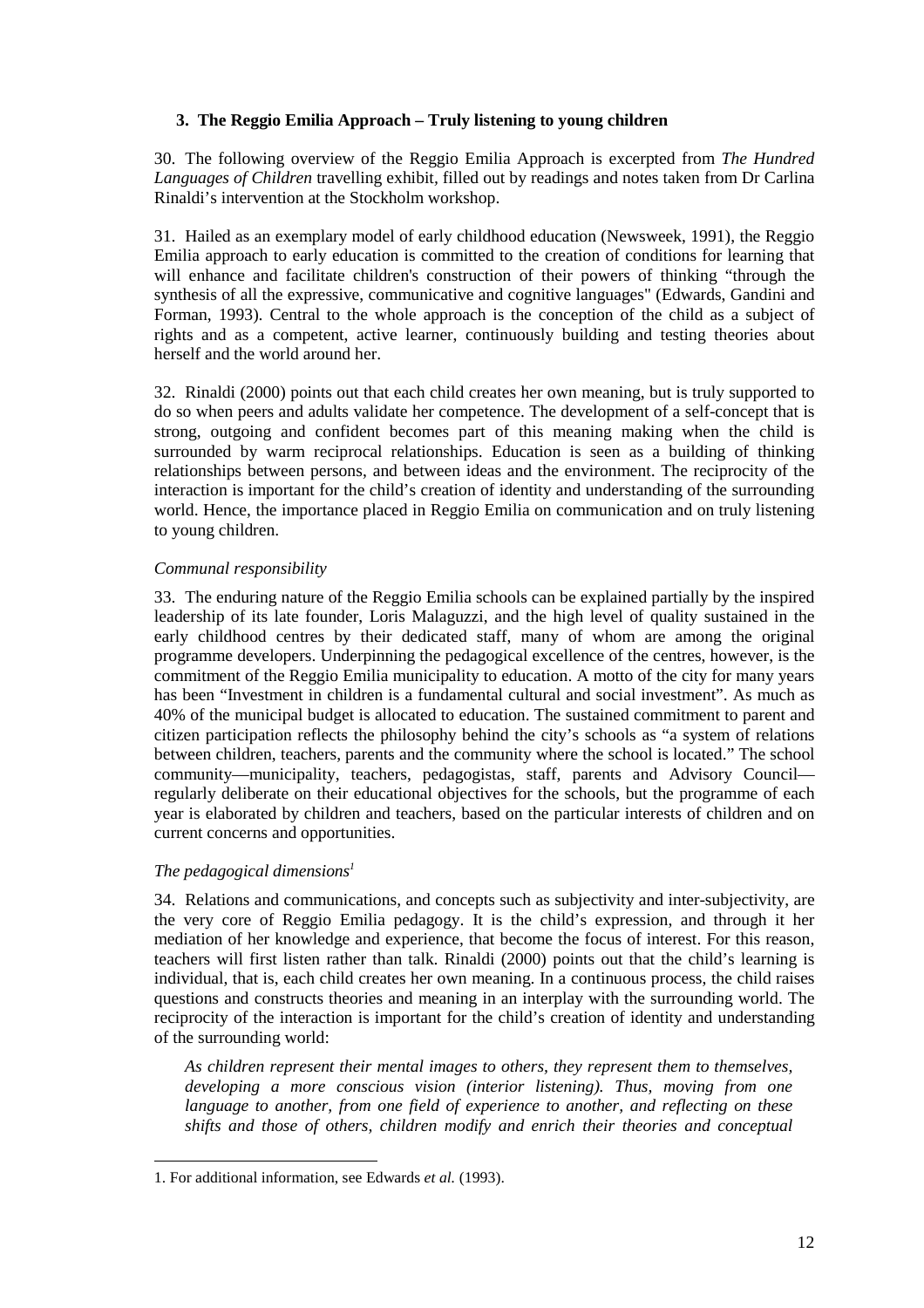# **3. The Reggio Emilia Approach – Truly listening to young children**

30. The following overview of the Reggio Emilia Approach is excerpted from *The Hundred Languages of Children* travelling exhibit*,* filled out by readings and notes taken from Dr Carlina Rinaldi's intervention at the Stockholm workshop.

31. Hailed as an exemplary model of early childhood education (Newsweek, 1991), the Reggio Emilia approach to early education is committed to the creation of conditions for learning that will enhance and facilitate children's construction of their powers of thinking "through the synthesis of all the expressive, communicative and cognitive languages" (Edwards, Gandini and Forman, 1993). Central to the whole approach is the conception of the child as a subject of rights and as a competent, active learner, continuously building and testing theories about herself and the world around her.

32. Rinaldi (2000) points out that each child creates her own meaning, but is truly supported to do so when peers and adults validate her competence. The development of a self-concept that is strong, outgoing and confident becomes part of this meaning making when the child is surrounded by warm reciprocal relationships. Education is seen as a building of thinking relationships between persons, and between ideas and the environment. The reciprocity of the interaction is important for the child's creation of identity and understanding of the surrounding world. Hence, the importance placed in Reggio Emilia on communication and on truly listening to young children.

#### *Communal responsibility*

33. The enduring nature of the Reggio Emilia schools can be explained partially by the inspired leadership of its late founder, Loris Malaguzzi, and the high level of quality sustained in the early childhood centres by their dedicated staff, many of whom are among the original programme developers. Underpinning the pedagogical excellence of the centres, however, is the commitment of the Reggio Emilia municipality to education. A motto of the city for many years has been "Investment in children is a fundamental cultural and social investment". As much as 40% of the municipal budget is allocated to education. The sustained commitment to parent and citizen participation reflects the philosophy behind the city's schools as "a system of relations between children, teachers, parents and the community where the school is located." The school community—municipality, teachers, pedagogistas, staff, parents and Advisory Council regularly deliberate on their educational objectives for the schools, but the programme of each year is elaborated by children and teachers, based on the particular interests of children and on current concerns and opportunities.

# *The pedagogical dimensions*<sup>1</sup>

<u>.</u>

34. Relations and communications, and concepts such as subjectivity and inter-subjectivity, are the very core of Reggio Emilia pedagogy. It is the child's expression, and through it her mediation of her knowledge and experience, that become the focus of interest. For this reason, teachers will first listen rather than talk. Rinaldi (2000) points out that the child's learning is individual, that is, each child creates her own meaning. In a continuous process, the child raises questions and constructs theories and meaning in an interplay with the surrounding world. The reciprocity of the interaction is important for the child's creation of identity and understanding of the surrounding world:

*As children represent their mental images to others, they represent them to themselves, developing a more conscious vision (interior listening). Thus, moving from one language to another, from one field of experience to another, and reflecting on these shifts and those of others, children modify and enrich their theories and conceptual* 

<sup>1.</sup> For additional information, see Edwards *et al.* (1993).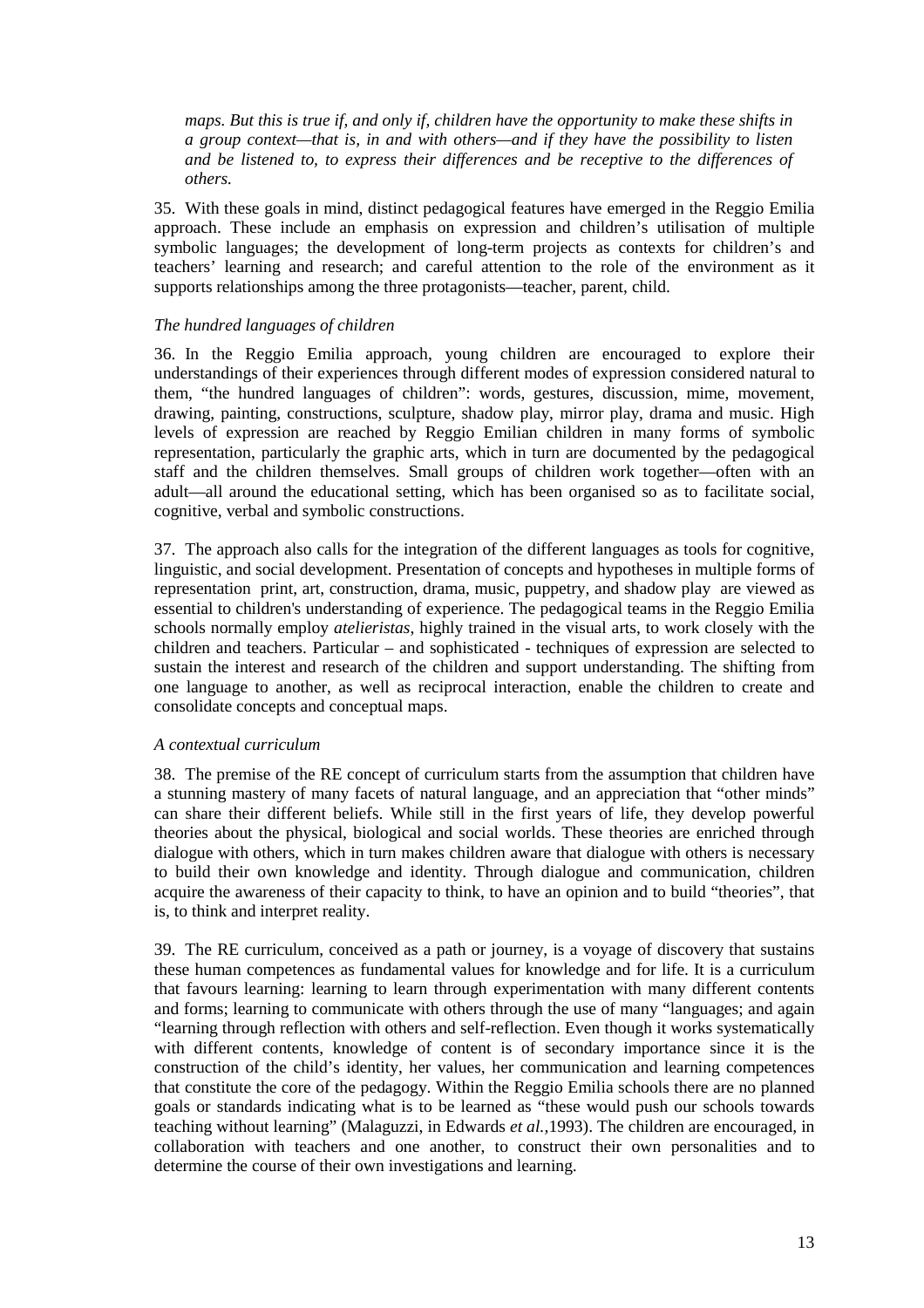*maps. But this is true if, and only if, children have the opportunity to make these shifts in a group context—that is, in and with others—and if they have the possibility to listen and be listened to, to express their differences and be receptive to the differences of others.* 

35. With these goals in mind, distinct pedagogical features have emerged in the Reggio Emilia approach. These include an emphasis on expression and children's utilisation of multiple symbolic languages; the development of long-term projects as contexts for children's and teachers' learning and research; and careful attention to the role of the environment as it supports relationships among the three protagonists—teacher, parent, child.

# *The hundred languages of children*

36. In the Reggio Emilia approach, young children are encouraged to explore their understandings of their experiences through different modes of expression considered natural to them, "the hundred languages of children": words, gestures, discussion, mime, movement, drawing, painting, constructions, sculpture, shadow play, mirror play, drama and music. High levels of expression are reached by Reggio Emilian children in many forms of symbolic representation, particularly the graphic arts, which in turn are documented by the pedagogical staff and the children themselves. Small groups of children work together—often with an adult—all around the educational setting, which has been organised so as to facilitate social, cognitive, verbal and symbolic constructions.

37. The approach also calls for the integration of the different languages as tools for cognitive, linguistic, and social development. Presentation of concepts and hypotheses in multiple forms of representation print, art, construction, drama, music, puppetry, and shadow play are viewed as essential to children's understanding of experience. The pedagogical teams in the Reggio Emilia schools normally employ *atelieristas*, highly trained in the visual arts, to work closely with the children and teachers. Particular – and sophisticated - techniques of expression are selected to sustain the interest and research of the children and support understanding. The shifting from one language to another, as well as reciprocal interaction, enable the children to create and consolidate concepts and conceptual maps.

#### *A contextual curriculum*

38. The premise of the RE concept of curriculum starts from the assumption that children have a stunning mastery of many facets of natural language, and an appreciation that "other minds" can share their different beliefs. While still in the first years of life, they develop powerful theories about the physical, biological and social worlds. These theories are enriched through dialogue with others, which in turn makes children aware that dialogue with others is necessary to build their own knowledge and identity. Through dialogue and communication, children acquire the awareness of their capacity to think, to have an opinion and to build "theories", that is, to think and interpret reality.

39. The RE curriculum, conceived as a path or journey, is a voyage of discovery that sustains these human competences as fundamental values for knowledge and for life. It is a curriculum that favours learning: learning to learn through experimentation with many different contents and forms; learning to communicate with others through the use of many "languages; and again "learning through reflection with others and self-reflection. Even though it works systematically with different contents, knowledge of content is of secondary importance since it is the construction of the child's identity, her values, her communication and learning competences that constitute the core of the pedagogy. Within the Reggio Emilia schools there are no planned goals or standards indicating what is to be learned as "these would push our schools towards teaching without learning" (Malaguzzi, in Edwards *et al.,*1993). The children are encouraged, in collaboration with teachers and one another, to construct their own personalities and to determine the course of their own investigations and learning.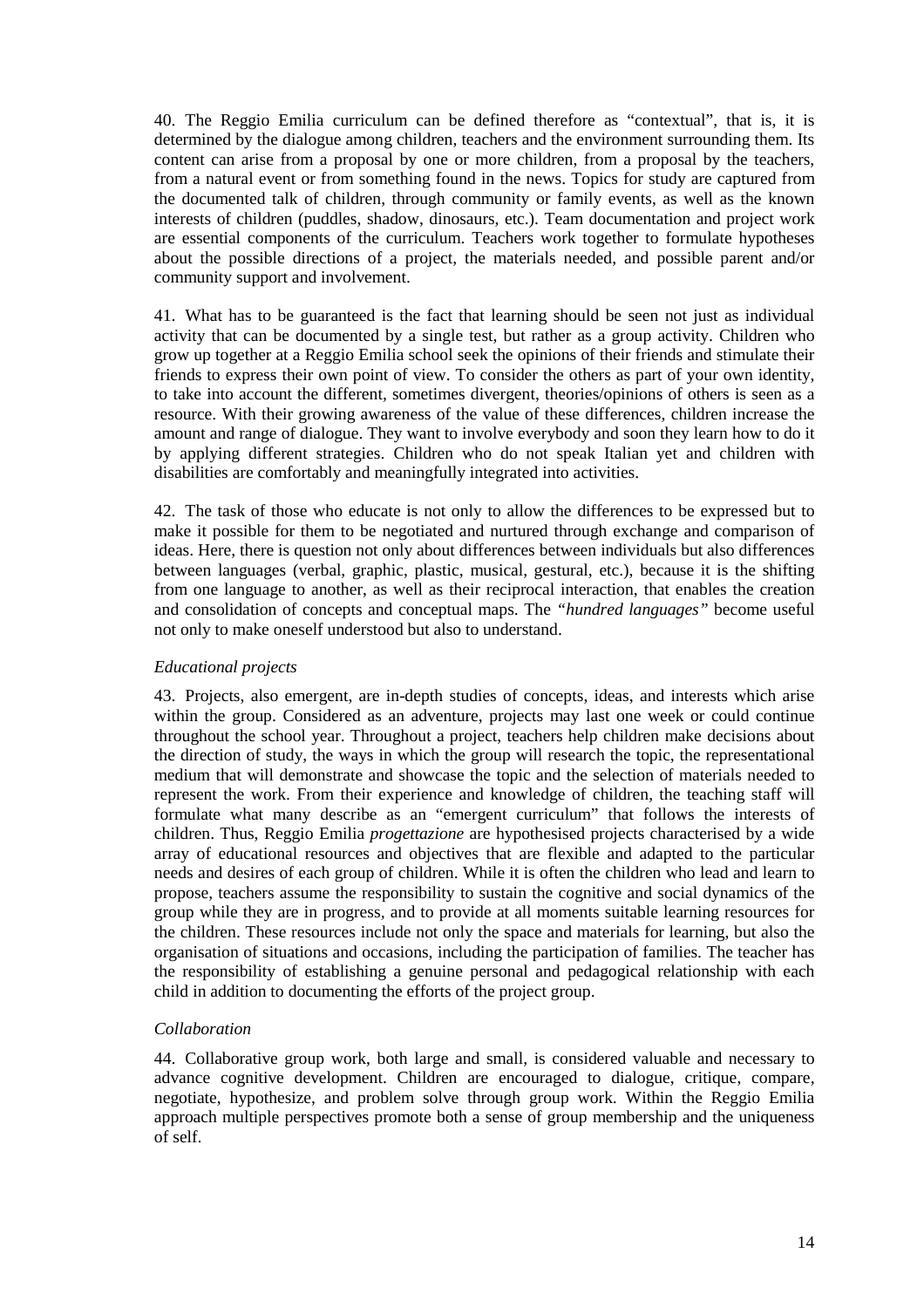40. The Reggio Emilia curriculum can be defined therefore as "contextual", that is, it is determined by the dialogue among children, teachers and the environment surrounding them. Its content can arise from a proposal by one or more children, from a proposal by the teachers, from a natural event or from something found in the news. Topics for study are captured from the documented talk of children, through community or family events, as well as the known interests of children (puddles, shadow, dinosaurs, etc.). Team documentation and project work are essential components of the curriculum. Teachers work together to formulate hypotheses about the possible directions of a project, the materials needed, and possible parent and/or community support and involvement.

41. What has to be guaranteed is the fact that learning should be seen not just as individual activity that can be documented by a single test, but rather as a group activity. Children who grow up together at a Reggio Emilia school seek the opinions of their friends and stimulate their friends to express their own point of view. To consider the others as part of your own identity, to take into account the different, sometimes divergent, theories/opinions of others is seen as a resource. With their growing awareness of the value of these differences, children increase the amount and range of dialogue. They want to involve everybody and soon they learn how to do it by applying different strategies. Children who do not speak Italian yet and children with disabilities are comfortably and meaningfully integrated into activities.

42. The task of those who educate is not only to allow the differences to be expressed but to make it possible for them to be negotiated and nurtured through exchange and comparison of ideas. Here, there is question not only about differences between individuals but also differences between languages (verbal, graphic, plastic, musical, gestural, etc.), because it is the shifting from one language to another, as well as their reciprocal interaction, that enables the creation and consolidation of concepts and conceptual maps. The *"hundred languages"* become useful not only to make oneself understood but also to understand.

#### *Educational projects*

43. Projects, also emergent, are in-depth studies of concepts, ideas, and interests which arise within the group. Considered as an adventure, projects may last one week or could continue throughout the school year. Throughout a project, teachers help children make decisions about the direction of study, the ways in which the group will research the topic, the representational medium that will demonstrate and showcase the topic and the selection of materials needed to represent the work. From their experience and knowledge of children, the teaching staff will formulate what many describe as an "emergent curriculum" that follows the interests of children. Thus, Reggio Emilia *progettazione* are hypothesised projects characterised by a wide array of educational resources and objectives that are flexible and adapted to the particular needs and desires of each group of children. While it is often the children who lead and learn to propose, teachers assume the responsibility to sustain the cognitive and social dynamics of the group while they are in progress, and to provide at all moments suitable learning resources for the children. These resources include not only the space and materials for learning, but also the organisation of situations and occasions, including the participation of families. The teacher has the responsibility of establishing a genuine personal and pedagogical relationship with each child in addition to documenting the efforts of the project group.

# *Collaboration*

44. Collaborative group work, both large and small, is considered valuable and necessary to advance cognitive development. Children are encouraged to dialogue, critique, compare, negotiate, hypothesize, and problem solve through group work. Within the Reggio Emilia approach multiple perspectives promote both a sense of group membership and the uniqueness of self.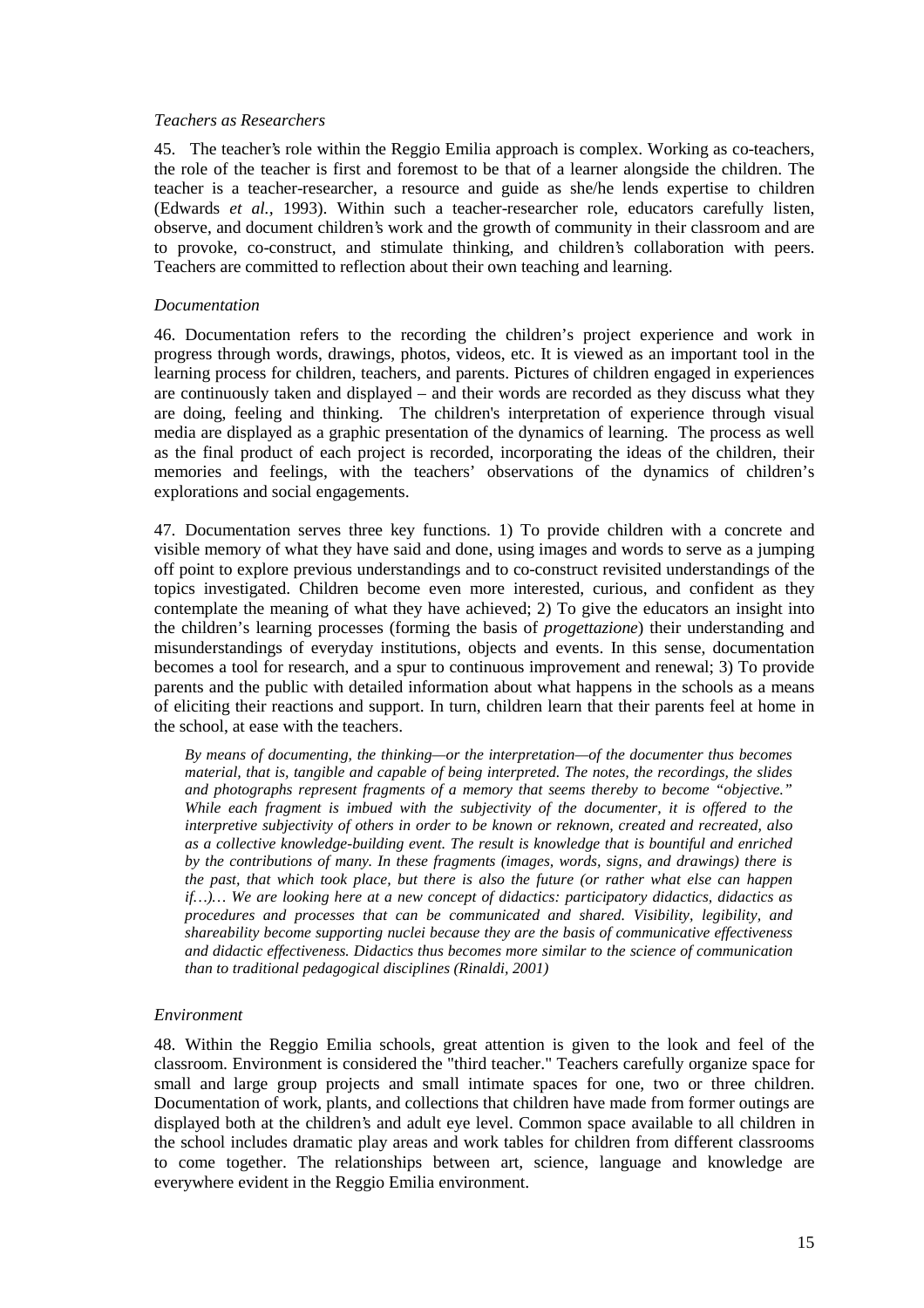#### *Teachers as Researchers*

45. The teacher's role within the Reggio Emilia approach is complex. Working as co-teachers, the role of the teacher is first and foremost to be that of a learner alongside the children. The teacher is a teacher-researcher, a resource and guide as she/he lends expertise to children (Edwards *et al.,* 1993). Within such a teacher-researcher role, educators carefully listen, observe, and document children's work and the growth of community in their classroom and are to provoke, co-construct, and stimulate thinking, and children's collaboration with peers. Teachers are committed to reflection about their own teaching and learning.

#### *Documentation*

46. Documentation refers to the recording the children's project experience and work in progress through words, drawings, photos, videos, etc. It is viewed as an important tool in the learning process for children, teachers, and parents. Pictures of children engaged in experiences are continuously taken and displayed – and their words are recorded as they discuss what they are doing, feeling and thinking. The children's interpretation of experience through visual media are displayed as a graphic presentation of the dynamics of learning. The process as well as the final product of each project is recorded, incorporating the ideas of the children, their memories and feelings, with the teachers' observations of the dynamics of children's explorations and social engagements.

47. Documentation serves three key functions. 1) To provide children with a concrete and visible memory of what they have said and done, using images and words to serve as a jumping off point to explore previous understandings and to co-construct revisited understandings of the topics investigated. Children become even more interested, curious, and confident as they contemplate the meaning of what they have achieved; 2) To give the educators an insight into the children's learning processes (forming the basis of *progettazione*) their understanding and misunderstandings of everyday institutions, objects and events. In this sense, documentation becomes a tool for research, and a spur to continuous improvement and renewal; 3) To provide parents and the public with detailed information about what happens in the schools as a means of eliciting their reactions and support. In turn, children learn that their parents feel at home in the school, at ease with the teachers.

*By means of documenting, the thinking—or the interpretation—of the documenter thus becomes material, that is, tangible and capable of being interpreted. The notes, the recordings, the slides and photographs represent fragments of a memory that seems thereby to become "objective." While each fragment is imbued with the subjectivity of the documenter, it is offered to the interpretive subjectivity of others in order to be known or reknown, created and recreated, also as a collective knowledge-building event. The result is knowledge that is bountiful and enriched by the contributions of many. In these fragments (images, words, signs, and drawings) there is the past, that which took place, but there is also the future (or rather what else can happen if…)… We are looking here at a new concept of didactics: participatory didactics, didactics as procedures and processes that can be communicated and shared. Visibility, legibility, and shareability become supporting nuclei because they are the basis of communicative effectiveness and didactic effectiveness. Didactics thus becomes more similar to the science of communication than to traditional pedagogical disciplines (Rinaldi, 2001)* 

#### *Environment*

48. Within the Reggio Emilia schools, great attention is given to the look and feel of the classroom. Environment is considered the "third teacher." Teachers carefully organize space for small and large group projects and small intimate spaces for one, two or three children. Documentation of work, plants, and collections that children have made from former outings are displayed both at the children's and adult eye level. Common space available to all children in the school includes dramatic play areas and work tables for children from different classrooms to come together. The relationships between art, science, language and knowledge are everywhere evident in the Reggio Emilia environment.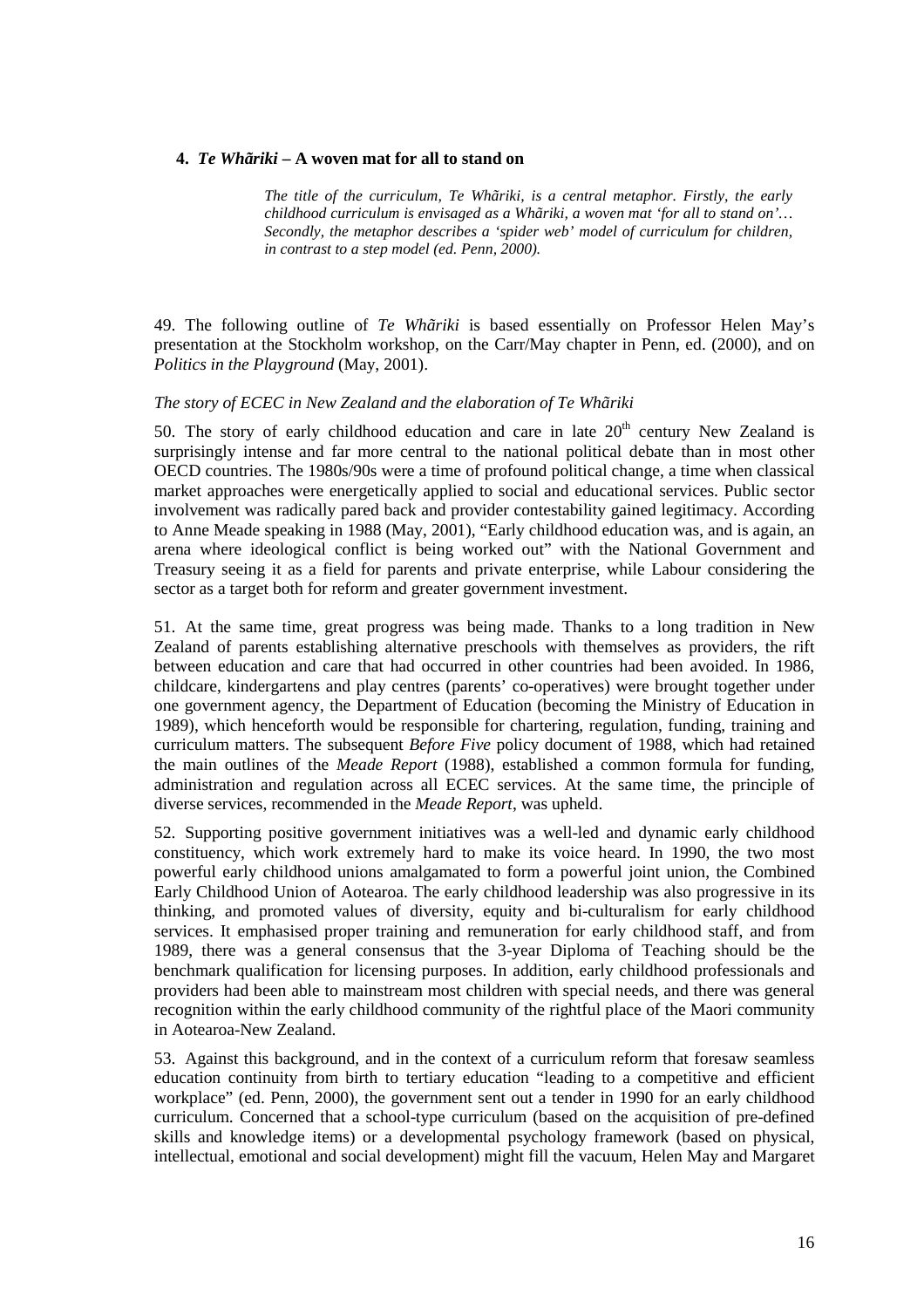#### **4.** *Te Whãriki* **– A woven mat for all to stand on**

*The title of the curriculum, Te Whãriki, is a central metaphor. Firstly, the early childhood curriculum is envisaged as a Whãriki, a woven mat 'for all to stand on'… Secondly, the metaphor describes a 'spider web' model of curriculum for children, in contrast to a step model (ed. Penn, 2000).* 

49. The following outline of *Te Whãriki* is based essentially on Professor Helen May's presentation at the Stockholm workshop, on the Carr/May chapter in Penn, ed. (2000), and on *Politics in the Playground* (May, 2001).

#### *The story of ECEC in New Zealand and the elaboration of Te Whãriki*

50. The story of early childhood education and care in late  $20<sup>th</sup>$  century New Zealand is surprisingly intense and far more central to the national political debate than in most other OECD countries. The 1980s/90s were a time of profound political change, a time when classical market approaches were energetically applied to social and educational services. Public sector involvement was radically pared back and provider contestability gained legitimacy. According to Anne Meade speaking in 1988 (May, 2001), "Early childhood education was, and is again, an arena where ideological conflict is being worked out" with the National Government and Treasury seeing it as a field for parents and private enterprise, while Labour considering the sector as a target both for reform and greater government investment.

51. At the same time, great progress was being made. Thanks to a long tradition in New Zealand of parents establishing alternative preschools with themselves as providers, the rift between education and care that had occurred in other countries had been avoided. In 1986, childcare, kindergartens and play centres (parents' co-operatives) were brought together under one government agency, the Department of Education (becoming the Ministry of Education in 1989), which henceforth would be responsible for chartering, regulation, funding, training and curriculum matters. The subsequent *Before Five* policy document of 1988, which had retained the main outlines of the *Meade Report* (1988), established a common formula for funding, administration and regulation across all ECEC services. At the same time, the principle of diverse services, recommended in the *Meade Report*, was upheld.

52. Supporting positive government initiatives was a well-led and dynamic early childhood constituency, which work extremely hard to make its voice heard. In 1990, the two most powerful early childhood unions amalgamated to form a powerful joint union, the Combined Early Childhood Union of Aotearoa. The early childhood leadership was also progressive in its thinking, and promoted values of diversity, equity and bi-culturalism for early childhood services. It emphasised proper training and remuneration for early childhood staff, and from 1989, there was a general consensus that the 3-year Diploma of Teaching should be the benchmark qualification for licensing purposes. In addition, early childhood professionals and providers had been able to mainstream most children with special needs, and there was general recognition within the early childhood community of the rightful place of the Maori community in Aotearoa-New Zealand.

53. Against this background, and in the context of a curriculum reform that foresaw seamless education continuity from birth to tertiary education "leading to a competitive and efficient workplace" (ed. Penn, 2000), the government sent out a tender in 1990 for an early childhood curriculum. Concerned that a school-type curriculum (based on the acquisition of pre-defined skills and knowledge items) or a developmental psychology framework (based on physical, intellectual, emotional and social development) might fill the vacuum, Helen May and Margaret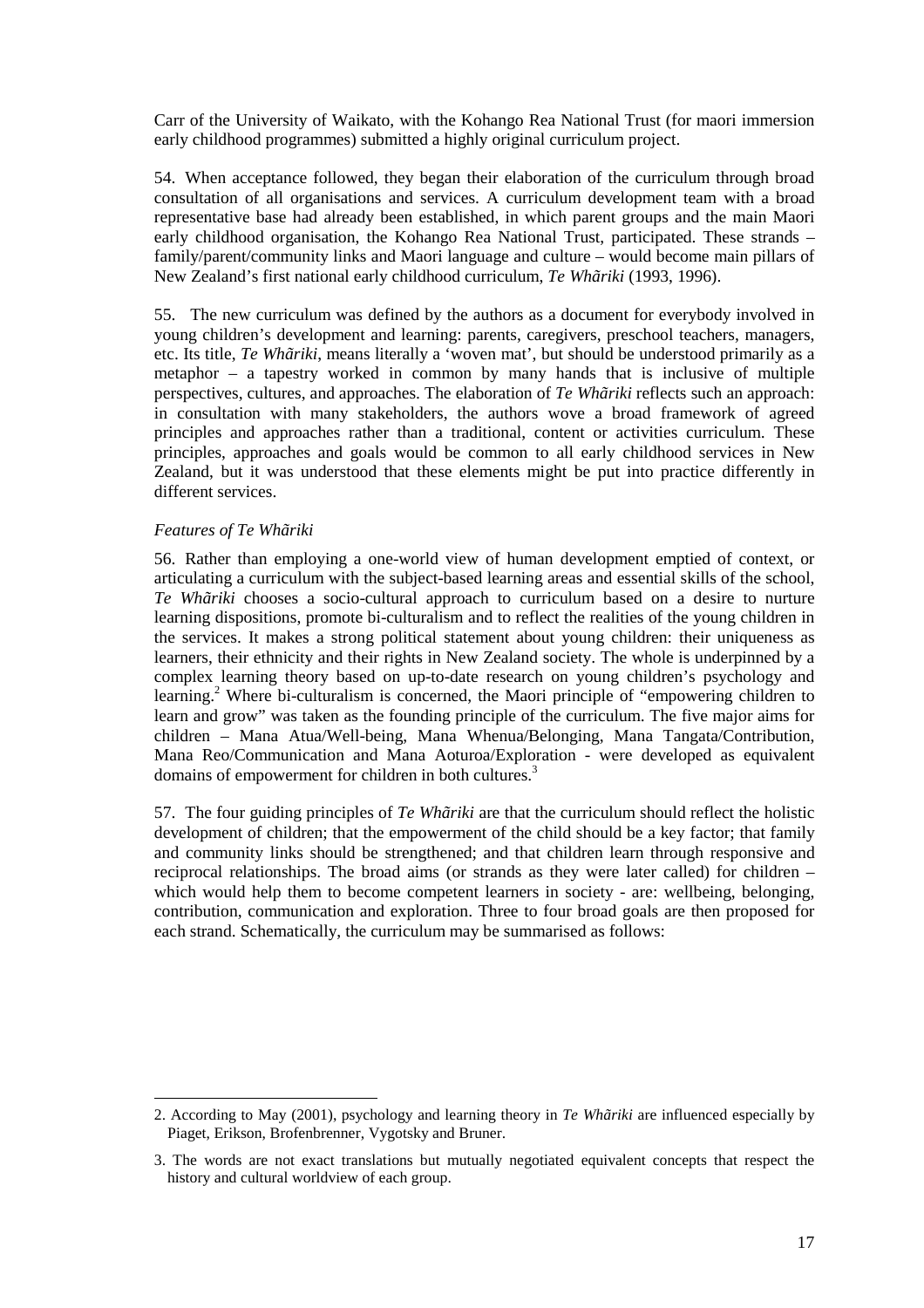Carr of the University of Waikato, with the Kohango Rea National Trust (for maori immersion early childhood programmes) submitted a highly original curriculum project.

54. When acceptance followed, they began their elaboration of the curriculum through broad consultation of all organisations and services. A curriculum development team with a broad representative base had already been established, in which parent groups and the main Maori early childhood organisation, the Kohango Rea National Trust, participated. These strands – family/parent/community links and Maori language and culture – would become main pillars of New Zealand's first national early childhood curriculum, *Te Whãriki* (1993, 1996).

55. The new curriculum was defined by the authors as a document for everybody involved in young children's development and learning: parents, caregivers, preschool teachers, managers, etc. Its title, *Te Whãriki*, means literally a 'woven mat', but should be understood primarily as a metaphor – a tapestry worked in common by many hands that is inclusive of multiple perspectives, cultures, and approaches. The elaboration of *Te Whãriki* reflects such an approach: in consultation with many stakeholders, the authors wove a broad framework of agreed principles and approaches rather than a traditional, content or activities curriculum. These principles, approaches and goals would be common to all early childhood services in New Zealand, but it was understood that these elements might be put into practice differently in different services.

#### *Features of Te Whãriki*

-

56. Rather than employing a one-world view of human development emptied of context, or articulating a curriculum with the subject-based learning areas and essential skills of the school, *Te Whãriki* chooses a socio-cultural approach to curriculum based on a desire to nurture learning dispositions, promote bi-culturalism and to reflect the realities of the young children in the services. It makes a strong political statement about young children: their uniqueness as learners, their ethnicity and their rights in New Zealand society. The whole is underpinned by a complex learning theory based on up-to-date research on young children's psychology and learning.<sup>2</sup> Where bi-culturalism is concerned, the Maori principle of "empowering children to learn and grow" was taken as the founding principle of the curriculum. The five major aims for children – Mana Atua/Well-being, Mana Whenua/Belonging, Mana Tangata/Contribution, Mana Reo/Communication and Mana Aoturoa/Exploration - were developed as equivalent domains of empowerment for children in both cultures.<sup>3</sup>

57. The four guiding principles of *Te Whãriki* are that the curriculum should reflect the holistic development of children; that the empowerment of the child should be a key factor; that family and community links should be strengthened; and that children learn through responsive and reciprocal relationships. The broad aims (or strands as they were later called) for children – which would help them to become competent learners in society - are: wellbeing, belonging, contribution, communication and exploration. Three to four broad goals are then proposed for each strand. Schematically, the curriculum may be summarised as follows:

<sup>2.</sup> According to May (2001), psychology and learning theory in *Te Whãriki* are influenced especially by Piaget, Erikson, Brofenbrenner, Vygotsky and Bruner.

<sup>3.</sup> The words are not exact translations but mutually negotiated equivalent concepts that respect the history and cultural worldview of each group.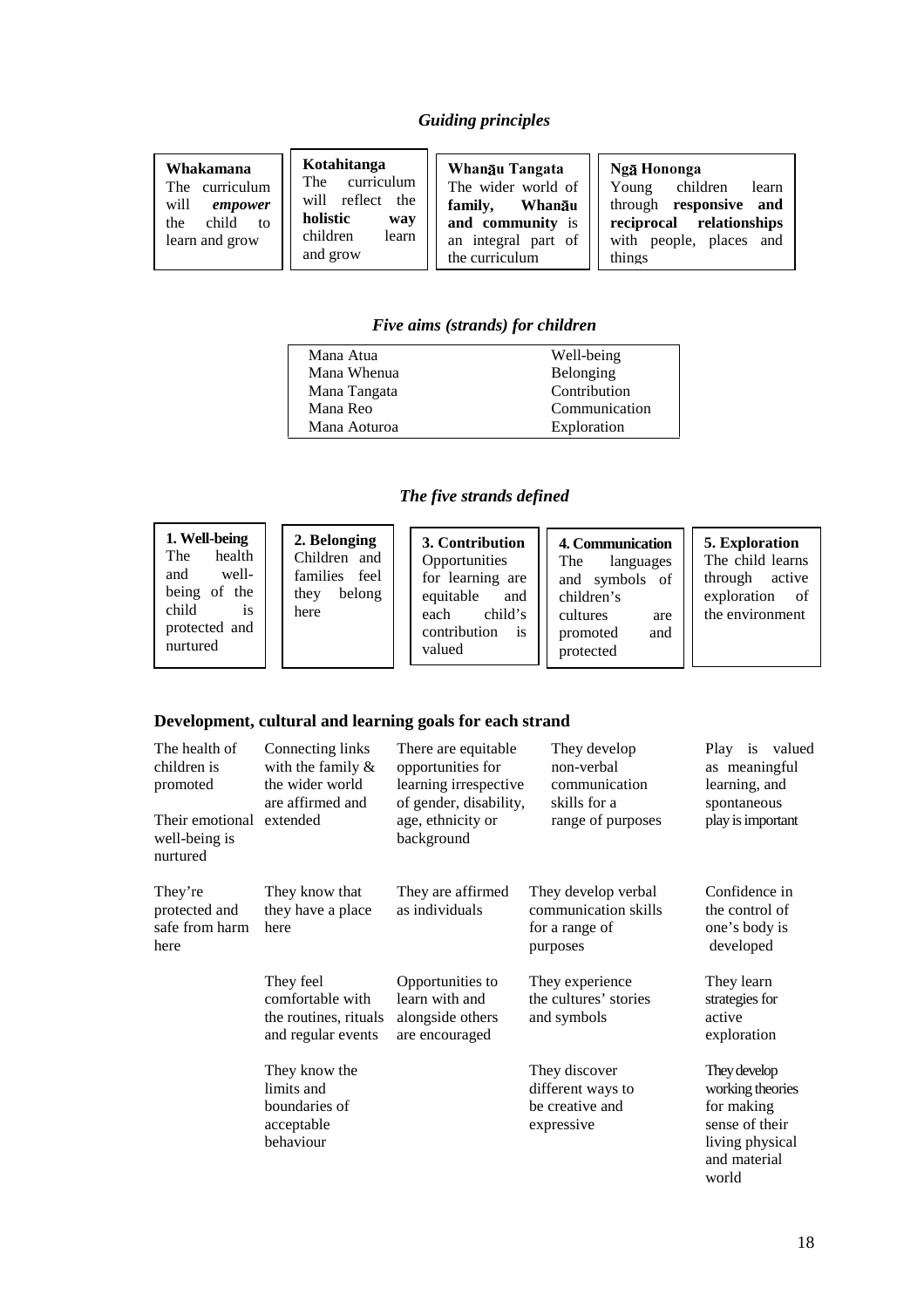# *Guiding principles*

| Whakamana<br>The curriculum<br>will<br>empower<br>child<br>the<br>$\overline{t}$<br>learn and grow | Kotahitanga<br>curriculum<br>The<br>will reflect the<br>holistic<br>way<br>children<br>learn<br>and grow | Whanau Tangata<br>The wider world of<br>family,<br>Whanau<br>and community is<br>an integral part of<br>the curriculum | Nga Hononga<br>Young<br>children<br>learn<br>through responsive and<br>reciprocal relationships<br>with people, places and<br>things |
|----------------------------------------------------------------------------------------------------|----------------------------------------------------------------------------------------------------------|------------------------------------------------------------------------------------------------------------------------|--------------------------------------------------------------------------------------------------------------------------------------|
|----------------------------------------------------------------------------------------------------|----------------------------------------------------------------------------------------------------------|------------------------------------------------------------------------------------------------------------------------|--------------------------------------------------------------------------------------------------------------------------------------|

# *Five aims (strands) for children*

| Mana Atua    | Well-being    |
|--------------|---------------|
| Mana Whenua  | Belonging     |
| Mana Tangata | Contribution  |
| Mana Reo     | Communication |
| Mana Aoturoa | Exploration   |
|              |               |

# *The five strands defined*

| 1. Well-being<br>The<br>health<br>and<br>well-<br>being of the<br>child<br>1S<br>protected and<br>nurtured | 2. Belonging<br>Children and<br>families feel<br>belong<br>they<br>here | 3. Contribution<br>Opportunities<br>for learning are<br>equitable<br>and<br>child's<br>each<br>contribution<br>$\overline{\phantom{a}}$ is<br>valued | 4. Communication<br>The<br>languages<br>and symbols of<br>children's<br>cultures<br>are<br>promoted<br>and<br>protected | 5. Exploration<br>The child learns<br>through active<br>exploration of<br>the environment |
|------------------------------------------------------------------------------------------------------------|-------------------------------------------------------------------------|------------------------------------------------------------------------------------------------------------------------------------------------------|-------------------------------------------------------------------------------------------------------------------------|-------------------------------------------------------------------------------------------|
|------------------------------------------------------------------------------------------------------------|-------------------------------------------------------------------------|------------------------------------------------------------------------------------------------------------------------------------------------------|-------------------------------------------------------------------------------------------------------------------------|-------------------------------------------------------------------------------------------|

# **Development, cultural and learning goals for each strand**

ŗ

| The health of<br>children is<br>promoted<br>Their emotional<br>well-being is<br>nurtured | Connecting links<br>with the family $\&$<br>the wider world<br>are affirmed and<br>extended | There are equitable<br>opportunities for<br>learning irrespective<br>of gender, disability,<br>age, ethnicity or<br>background | They develop<br>non-verbal<br>communication<br>skills for a<br>range of purposes | Play is valued<br>as meaningful<br>learning, and<br>spontaneous<br>play is important                         |
|------------------------------------------------------------------------------------------|---------------------------------------------------------------------------------------------|--------------------------------------------------------------------------------------------------------------------------------|----------------------------------------------------------------------------------|--------------------------------------------------------------------------------------------------------------|
| They're<br>protected and<br>safe from harm<br>here                                       | They know that<br>they have a place<br>here                                                 | They are affirmed<br>as individuals                                                                                            | They develop verbal<br>communication skills<br>for a range of<br>purposes        | Confidence in<br>the control of<br>one's body is<br>developed                                                |
|                                                                                          | They feel<br>comfortable with<br>the routines, rituals<br>and regular events                | Opportunities to<br>learn with and<br>alongside others<br>are encouraged                                                       | They experience<br>the cultures' stories<br>and symbols                          | They learn<br>strategies for<br>active<br>exploration                                                        |
|                                                                                          | They know the<br>limits and<br>boundaries of<br>acceptable<br>behaviour                     |                                                                                                                                | They discover<br>different ways to<br>be creative and<br>expressive              | They develop<br>working theories<br>for making<br>sense of their<br>living physical<br>and material<br>world |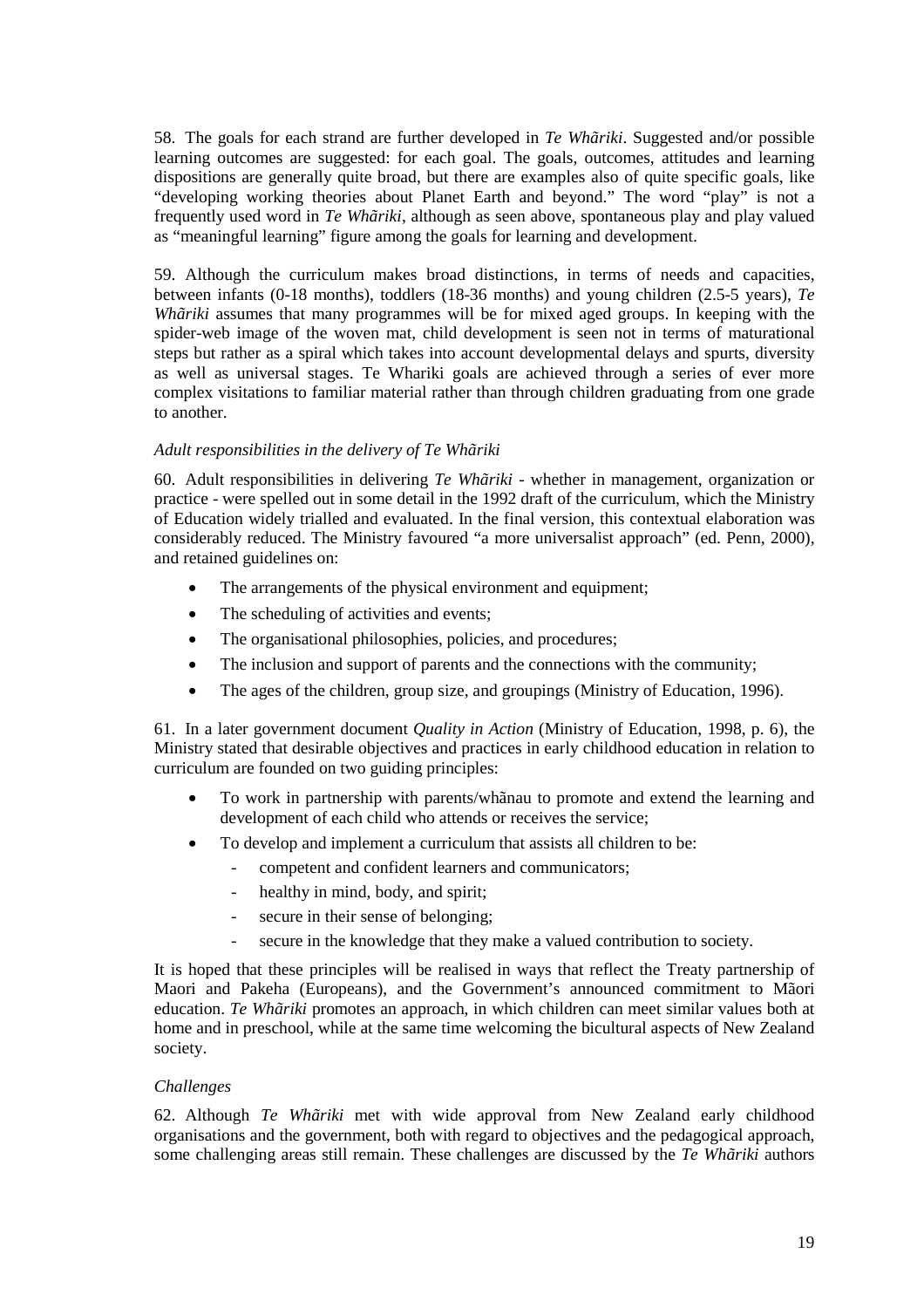58. The goals for each strand are further developed in *Te Whãriki*. Suggested and/or possible learning outcomes are suggested: for each goal. The goals, outcomes, attitudes and learning dispositions are generally quite broad, but there are examples also of quite specific goals, like "developing working theories about Planet Earth and beyond." The word "play" is not a frequently used word in *Te Whãriki*, although as seen above, spontaneous play and play valued as "meaningful learning" figure among the goals for learning and development.

59. Although the curriculum makes broad distinctions, in terms of needs and capacities, between infants (0-18 months), toddlers (18-36 months) and young children (2.5-5 years), *Te Whãriki* assumes that many programmes will be for mixed aged groups. In keeping with the spider-web image of the woven mat, child development is seen not in terms of maturational steps but rather as a spiral which takes into account developmental delays and spurts, diversity as well as universal stages. Te Whariki goals are achieved through a series of ever more complex visitations to familiar material rather than through children graduating from one grade to another.

# *Adult responsibilities in the delivery of Te Whãriki*

60. Adult responsibilities in delivering *Te Whãriki* - whether in management, organization or practice - were spelled out in some detail in the 1992 draft of the curriculum, which the Ministry of Education widely trialled and evaluated. In the final version, this contextual elaboration was considerably reduced. The Ministry favoured "a more universalist approach" (ed. Penn, 2000), and retained guidelines on:

- The arrangements of the physical environment and equipment;
- The scheduling of activities and events;
- The organisational philosophies, policies, and procedures;
- The inclusion and support of parents and the connections with the community;
- The ages of the children, group size, and groupings (Ministry of Education, 1996).

61. In a later government document *Quality in Action* (Ministry of Education, 1998, p. 6), the Ministry stated that desirable objectives and practices in early childhood education in relation to curriculum are founded on two guiding principles:

- To work in partnership with parents/whãnau to promote and extend the learning and development of each child who attends or receives the service;
- To develop and implement a curriculum that assists all children to be:
	- competent and confident learners and communicators;
	- healthy in mind, body, and spirit;
	- secure in their sense of belonging;
	- secure in the knowledge that they make a valued contribution to society.

It is hoped that these principles will be realised in ways that reflect the Treaty partnership of Maori and Pakeha (Europeans), and the Government's announced commitment to Mãori education. *Te Whãriki* promotes an approach, in which children can meet similar values both at home and in preschool, while at the same time welcoming the bicultural aspects of New Zealand society.

# *Challenges*

62. Although *Te Whãriki* met with wide approval from New Zealand early childhood organisations and the government, both with regard to objectives and the pedagogical approach, some challenging areas still remain. These challenges are discussed by the *Te Whãriki* authors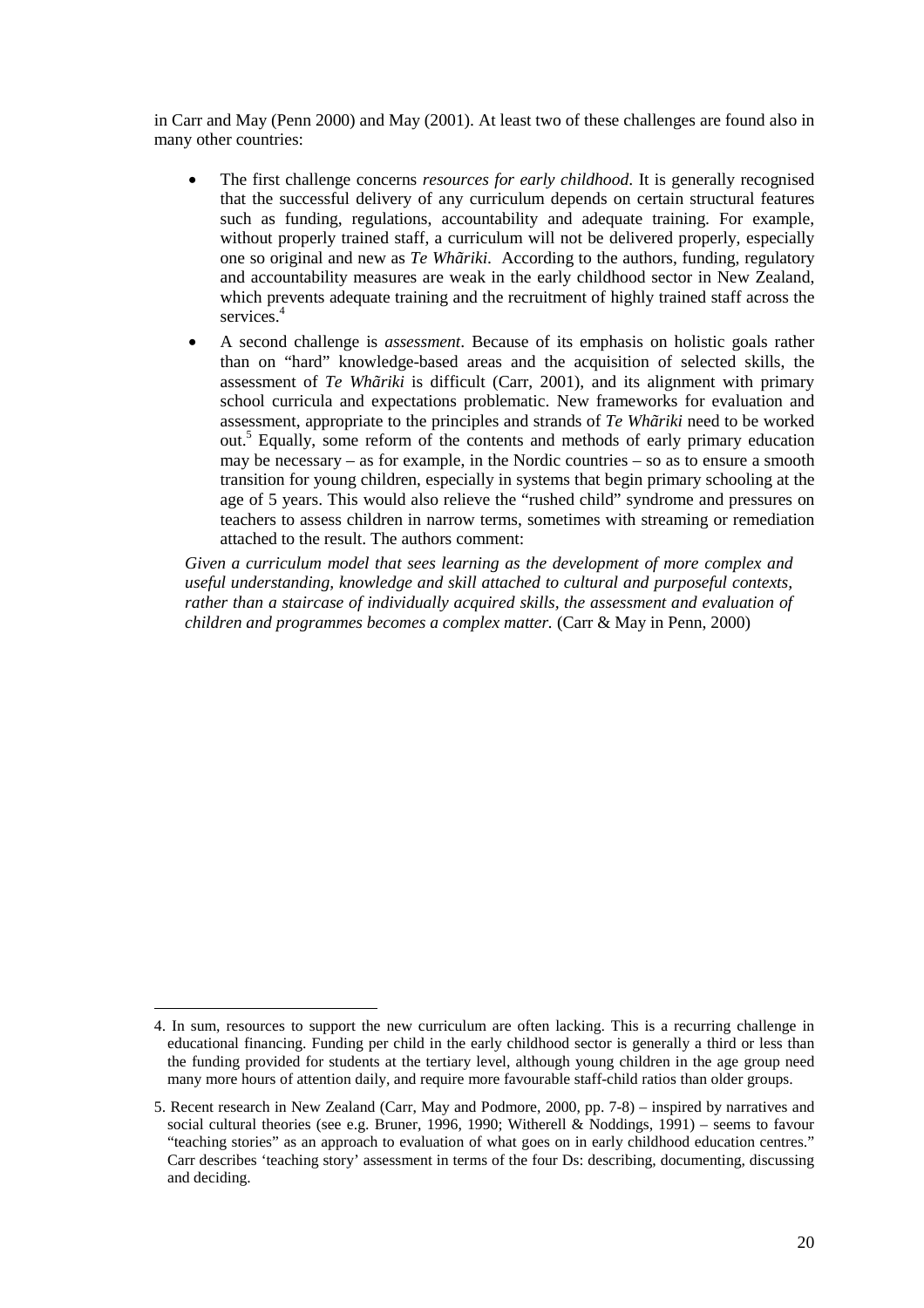in Carr and May (Penn 2000) and May (2001). At least two of these challenges are found also in many other countries:

- The first challenge concerns *resources for early childhood*. It is generally recognised that the successful delivery of any curriculum depends on certain structural features such as funding, regulations, accountability and adequate training. For example, without properly trained staff, a curriculum will not be delivered properly, especially one so original and new as *Te Whãriki*. According to the authors, funding, regulatory and accountability measures are weak in the early childhood sector in New Zealand, which prevents adequate training and the recruitment of highly trained staff across the services.<sup>4</sup>
- A second challenge is *assessment*. Because of its emphasis on holistic goals rather than on "hard" knowledge-based areas and the acquisition of selected skills, the assessment of *Te Whãriki* is difficult (Carr, 2001), and its alignment with primary school curricula and expectations problematic. New frameworks for evaluation and assessment, appropriate to the principles and strands of *Te Whãriki* need to be worked out.5 Equally, some reform of the contents and methods of early primary education may be necessary – as for example, in the Nordic countries – so as to ensure a smooth transition for young children, especially in systems that begin primary schooling at the age of 5 years. This would also relieve the "rushed child" syndrome and pressures on teachers to assess children in narrow terms, sometimes with streaming or remediation attached to the result. The authors comment:

*Given a curriculum model that sees learning as the development of more complex and useful understanding, knowledge and skill attached to cultural and purposeful contexts, rather than a staircase of individually acquired skills, the assessment and evaluation of children and programmes becomes a complex matter.* (Carr & May in Penn, 2000)

<sup>&</sup>lt;u>.</u> 4. In sum, resources to support the new curriculum are often lacking. This is a recurring challenge in educational financing. Funding per child in the early childhood sector is generally a third or less than the funding provided for students at the tertiary level, although young children in the age group need many more hours of attention daily, and require more favourable staff-child ratios than older groups.

<sup>5.</sup> Recent research in New Zealand (Carr, May and Podmore, 2000, pp. 7-8) – inspired by narratives and social cultural theories (see e.g. Bruner, 1996, 1990; Witherell & Noddings, 1991) – seems to favour "teaching stories" as an approach to evaluation of what goes on in early childhood education centres." Carr describes 'teaching story' assessment in terms of the four Ds: describing, documenting, discussing and deciding.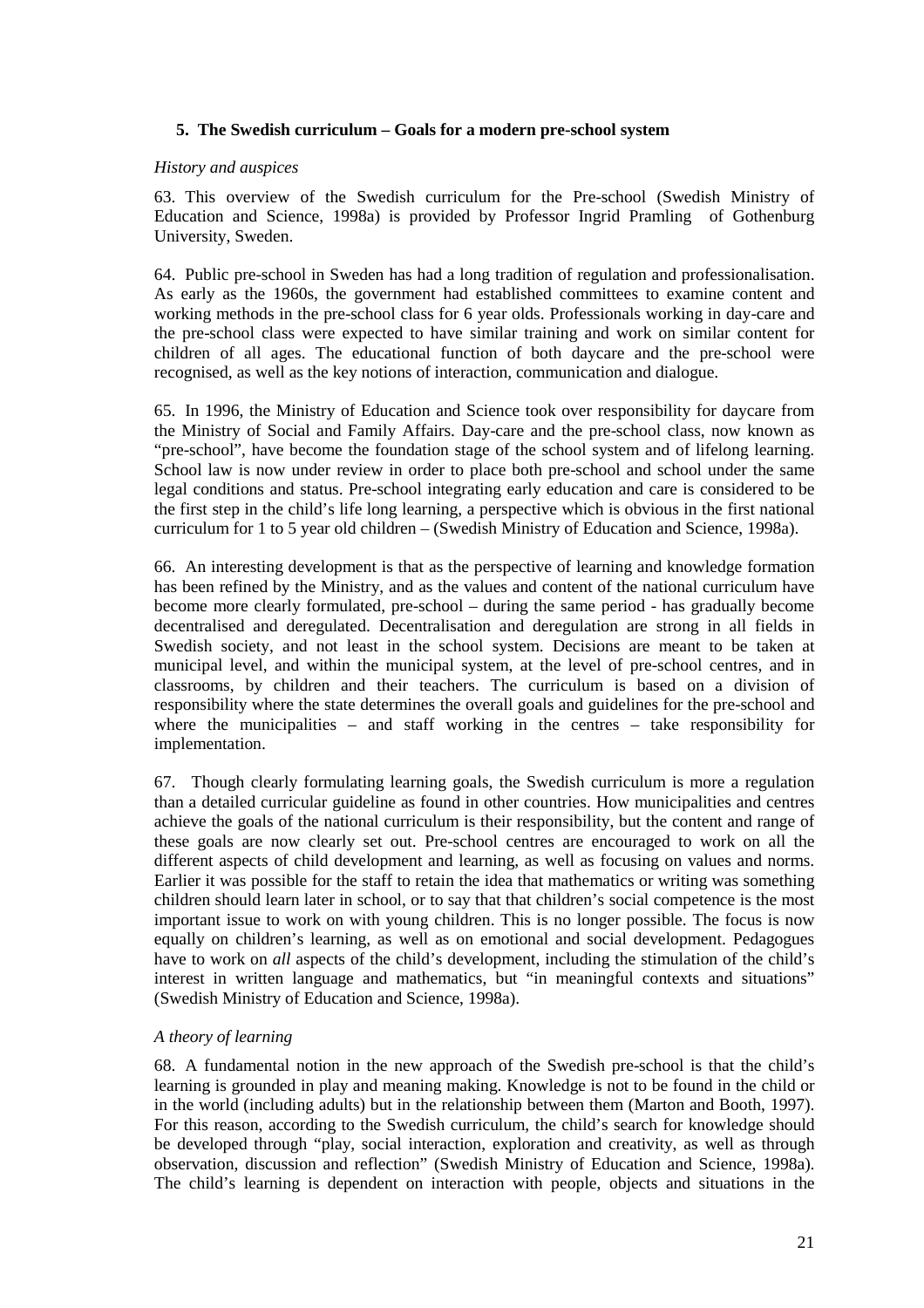#### **5. The Swedish curriculum – Goals for a modern pre-school system**

#### *History and auspices*

63. This overview of the Swedish curriculum for the Pre-school (Swedish Ministry of Education and Science, 1998a) is provided by Professor Ingrid Pramling of Gothenburg University, Sweden.

64. Public pre-school in Sweden has had a long tradition of regulation and professionalisation. As early as the 1960s, the government had established committees to examine content and working methods in the pre-school class for 6 year olds. Professionals working in day-care and the pre-school class were expected to have similar training and work on similar content for children of all ages. The educational function of both daycare and the pre-school were recognised, as well as the key notions of interaction, communication and dialogue.

65. In 1996, the Ministry of Education and Science took over responsibility for daycare from the Ministry of Social and Family Affairs. Day-care and the pre-school class, now known as "pre-school", have become the foundation stage of the school system and of lifelong learning. School law is now under review in order to place both pre-school and school under the same legal conditions and status. Pre-school integrating early education and care is considered to be the first step in the child's life long learning, a perspective which is obvious in the first national curriculum for 1 to 5 year old children – (Swedish Ministry of Education and Science, 1998a).

66. An interesting development is that as the perspective of learning and knowledge formation has been refined by the Ministry, and as the values and content of the national curriculum have become more clearly formulated, pre-school – during the same period - has gradually become decentralised and deregulated. Decentralisation and deregulation are strong in all fields in Swedish society, and not least in the school system. Decisions are meant to be taken at municipal level, and within the municipal system, at the level of pre-school centres, and in classrooms, by children and their teachers. The curriculum is based on a division of responsibility where the state determines the overall goals and guidelines for the pre-school and where the municipalities – and staff working in the centres – take responsibility for implementation.

67. Though clearly formulating learning goals, the Swedish curriculum is more a regulation than a detailed curricular guideline as found in other countries. How municipalities and centres achieve the goals of the national curriculum is their responsibility, but the content and range of these goals are now clearly set out. Pre-school centres are encouraged to work on all the different aspects of child development and learning, as well as focusing on values and norms. Earlier it was possible for the staff to retain the idea that mathematics or writing was something children should learn later in school, or to say that that children's social competence is the most important issue to work on with young children. This is no longer possible. The focus is now equally on children's learning, as well as on emotional and social development. Pedagogues have to work on *all* aspects of the child's development, including the stimulation of the child's interest in written language and mathematics, but "in meaningful contexts and situations" (Swedish Ministry of Education and Science, 1998a).

#### *A theory of learning*

68. A fundamental notion in the new approach of the Swedish pre-school is that the child's learning is grounded in play and meaning making. Knowledge is not to be found in the child or in the world (including adults) but in the relationship between them (Marton and Booth, 1997). For this reason, according to the Swedish curriculum, the child's search for knowledge should be developed through "play, social interaction, exploration and creativity, as well as through observation, discussion and reflection" (Swedish Ministry of Education and Science, 1998a). The child's learning is dependent on interaction with people, objects and situations in the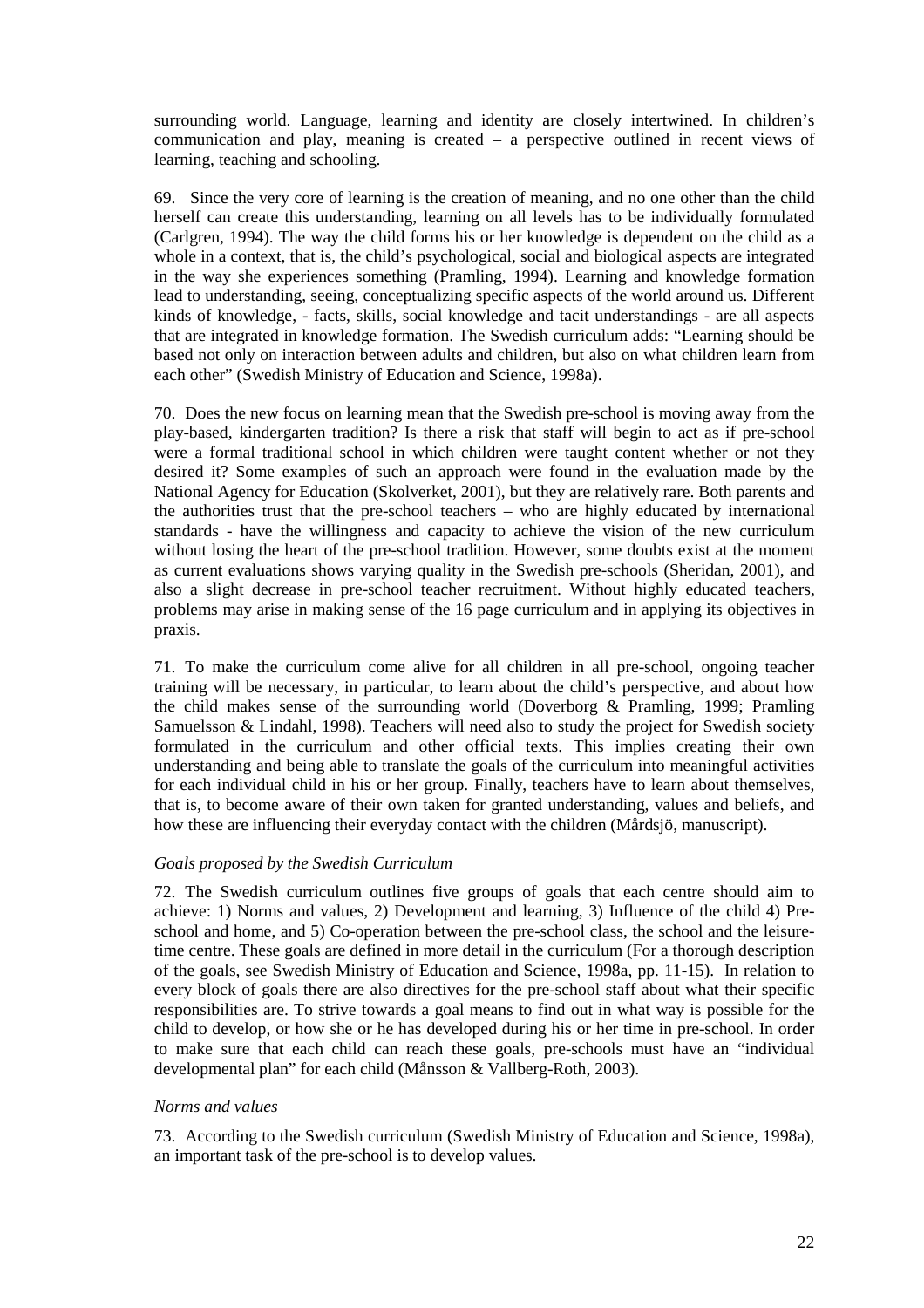surrounding world. Language, learning and identity are closely intertwined. In children's communication and play, meaning is created – a perspective outlined in recent views of learning, teaching and schooling.

69. Since the very core of learning is the creation of meaning, and no one other than the child herself can create this understanding, learning on all levels has to be individually formulated (Carlgren, 1994). The way the child forms his or her knowledge is dependent on the child as a whole in a context, that is, the child's psychological, social and biological aspects are integrated in the way she experiences something (Pramling, 1994). Learning and knowledge formation lead to understanding, seeing, conceptualizing specific aspects of the world around us. Different kinds of knowledge, - facts, skills, social knowledge and tacit understandings - are all aspects that are integrated in knowledge formation. The Swedish curriculum adds: "Learning should be based not only on interaction between adults and children, but also on what children learn from each other" (Swedish Ministry of Education and Science, 1998a).

70. Does the new focus on learning mean that the Swedish pre-school is moving away from the play-based, kindergarten tradition? Is there a risk that staff will begin to act as if pre-school were a formal traditional school in which children were taught content whether or not they desired it? Some examples of such an approach were found in the evaluation made by the National Agency for Education (Skolverket, 2001), but they are relatively rare. Both parents and the authorities trust that the pre-school teachers – who are highly educated by international standards - have the willingness and capacity to achieve the vision of the new curriculum without losing the heart of the pre-school tradition. However, some doubts exist at the moment as current evaluations shows varying quality in the Swedish pre-schools (Sheridan, 2001), and also a slight decrease in pre-school teacher recruitment. Without highly educated teachers, problems may arise in making sense of the 16 page curriculum and in applying its objectives in praxis.

71. To make the curriculum come alive for all children in all pre-school, ongoing teacher training will be necessary, in particular, to learn about the child's perspective, and about how the child makes sense of the surrounding world (Doverborg & Pramling, 1999; Pramling Samuelsson & Lindahl, 1998). Teachers will need also to study the project for Swedish society formulated in the curriculum and other official texts. This implies creating their own understanding and being able to translate the goals of the curriculum into meaningful activities for each individual child in his or her group. Finally, teachers have to learn about themselves, that is, to become aware of their own taken for granted understanding, values and beliefs, and how these are influencing their everyday contact with the children (Mårdsjö, manuscript).

#### *Goals proposed by the Swedish Curriculum*

72. The Swedish curriculum outlines five groups of goals that each centre should aim to achieve: 1) Norms and values, 2) Development and learning, 3) Influence of the child 4) Preschool and home, and 5) Co-operation between the pre-school class, the school and the leisuretime centre. These goals are defined in more detail in the curriculum (For a thorough description of the goals, see Swedish Ministry of Education and Science, 1998a, pp. 11-15). In relation to every block of goals there are also directives for the pre-school staff about what their specific responsibilities are. To strive towards a goal means to find out in what way is possible for the child to develop, or how she or he has developed during his or her time in pre-school. In order to make sure that each child can reach these goals, pre-schools must have an "individual developmental plan" for each child (Månsson & Vallberg-Roth, 2003).

#### *Norms and values*

73. According to the Swedish curriculum (Swedish Ministry of Education and Science, 1998a), an important task of the pre-school is to develop values.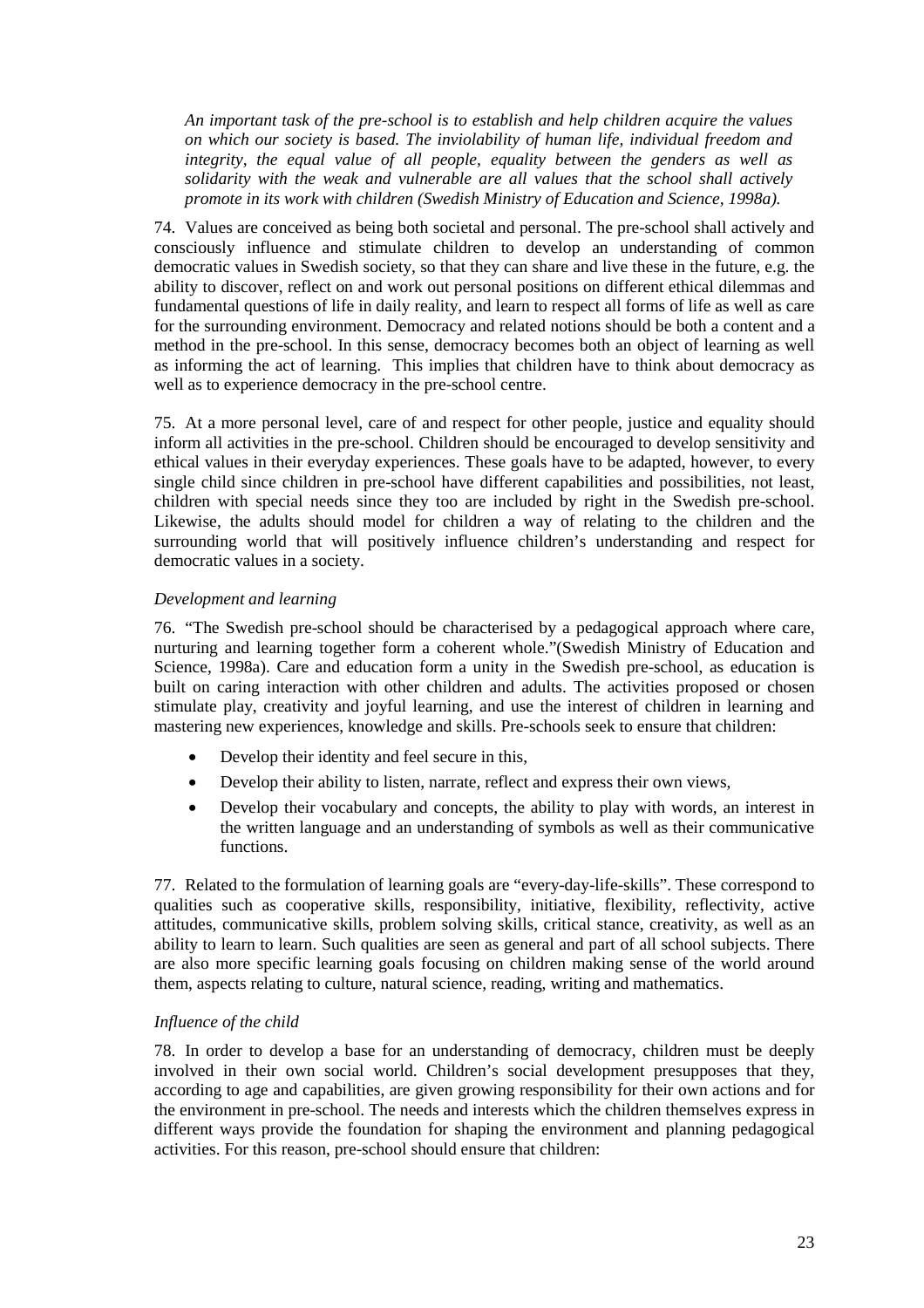*An important task of the pre-school is to establish and help children acquire the values on which our society is based. The inviolability of human life, individual freedom and integrity, the equal value of all people, equality between the genders as well as solidarity with the weak and vulnerable are all values that the school shall actively promote in its work with children (Swedish Ministry of Education and Science, 1998a).* 

74. Values are conceived as being both societal and personal. The pre-school shall actively and consciously influence and stimulate children to develop an understanding of common democratic values in Swedish society, so that they can share and live these in the future, e.g. the ability to discover, reflect on and work out personal positions on different ethical dilemmas and fundamental questions of life in daily reality, and learn to respect all forms of life as well as care for the surrounding environment. Democracy and related notions should be both a content and a method in the pre-school. In this sense, democracy becomes both an object of learning as well as informing the act of learning. This implies that children have to think about democracy as well as to experience democracy in the pre-school centre.

75. At a more personal level, care of and respect for other people, justice and equality should inform all activities in the pre-school. Children should be encouraged to develop sensitivity and ethical values in their everyday experiences. These goals have to be adapted, however, to every single child since children in pre-school have different capabilities and possibilities, not least, children with special needs since they too are included by right in the Swedish pre-school. Likewise, the adults should model for children a way of relating to the children and the surrounding world that will positively influence children's understanding and respect for democratic values in a society.

# *Development and learning*

76. "The Swedish pre-school should be characterised by a pedagogical approach where care, nurturing and learning together form a coherent whole."(Swedish Ministry of Education and Science, 1998a). Care and education form a unity in the Swedish pre-school, as education is built on caring interaction with other children and adults. The activities proposed or chosen stimulate play, creativity and joyful learning, and use the interest of children in learning and mastering new experiences, knowledge and skills. Pre-schools seek to ensure that children:

- Develop their identity and feel secure in this,
- Develop their ability to listen, narrate, reflect and express their own views,
- Develop their vocabulary and concepts, the ability to play with words, an interest in the written language and an understanding of symbols as well as their communicative functions.

77. Related to the formulation of learning goals are "every-day-life-skills". These correspond to qualities such as cooperative skills, responsibility, initiative, flexibility, reflectivity, active attitudes, communicative skills, problem solving skills, critical stance, creativity, as well as an ability to learn to learn. Such qualities are seen as general and part of all school subjects. There are also more specific learning goals focusing on children making sense of the world around them, aspects relating to culture, natural science, reading, writing and mathematics.

#### *Influence of the child*

78. In order to develop a base for an understanding of democracy, children must be deeply involved in their own social world. Children's social development presupposes that they, according to age and capabilities, are given growing responsibility for their own actions and for the environment in pre-school. The needs and interests which the children themselves express in different ways provide the foundation for shaping the environment and planning pedagogical activities. For this reason, pre-school should ensure that children: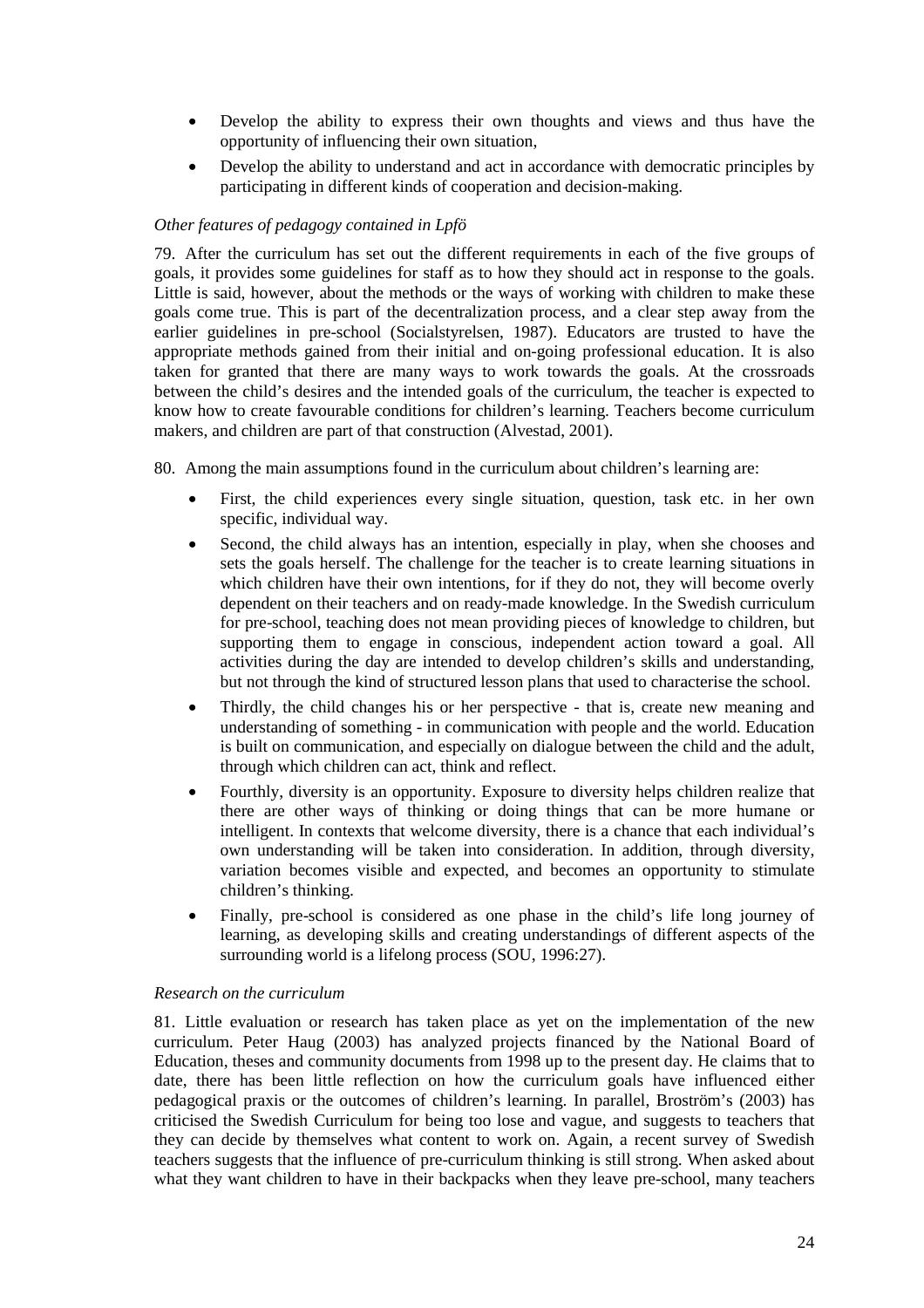- Develop the ability to express their own thoughts and views and thus have the opportunity of influencing their own situation,
- Develop the ability to understand and act in accordance with democratic principles by participating in different kinds of cooperation and decision-making.

# *Other features of pedagogy contained in Lpfö*

79. After the curriculum has set out the different requirements in each of the five groups of goals, it provides some guidelines for staff as to how they should act in response to the goals. Little is said, however, about the methods or the ways of working with children to make these goals come true. This is part of the decentralization process, and a clear step away from the earlier guidelines in pre-school (Socialstyrelsen, 1987). Educators are trusted to have the appropriate methods gained from their initial and on-going professional education. It is also taken for granted that there are many ways to work towards the goals. At the crossroads between the child's desires and the intended goals of the curriculum, the teacher is expected to know how to create favourable conditions for children's learning. Teachers become curriculum makers, and children are part of that construction (Alvestad, 2001).

80. Among the main assumptions found in the curriculum about children's learning are:

- First, the child experiences every single situation, question, task etc. in her own specific, individual way.
- Second, the child always has an intention, especially in play, when she chooses and sets the goals herself. The challenge for the teacher is to create learning situations in which children have their own intentions, for if they do not, they will become overly dependent on their teachers and on ready-made knowledge. In the Swedish curriculum for pre-school, teaching does not mean providing pieces of knowledge to children, but supporting them to engage in conscious, independent action toward a goal. All activities during the day are intended to develop children's skills and understanding, but not through the kind of structured lesson plans that used to characterise the school.
- Thirdly, the child changes his or her perspective that is, create new meaning and understanding of something - in communication with people and the world. Education is built on communication, and especially on dialogue between the child and the adult, through which children can act, think and reflect.
- Fourthly, diversity is an opportunity. Exposure to diversity helps children realize that there are other ways of thinking or doing things that can be more humane or intelligent. In contexts that welcome diversity, there is a chance that each individual's own understanding will be taken into consideration. In addition, through diversity, variation becomes visible and expected, and becomes an opportunity to stimulate children's thinking.
- Finally, pre-school is considered as one phase in the child's life long journey of learning, as developing skills and creating understandings of different aspects of the surrounding world is a lifelong process (SOU, 1996:27).

#### *Research on the curriculum*

81. Little evaluation or research has taken place as yet on the implementation of the new curriculum. Peter Haug (2003) has analyzed projects financed by the National Board of Education, theses and community documents from 1998 up to the present day. He claims that to date, there has been little reflection on how the curriculum goals have influenced either pedagogical praxis or the outcomes of children's learning. In parallel, Broström's (2003) has criticised the Swedish Curriculum for being too lose and vague, and suggests to teachers that they can decide by themselves what content to work on. Again, a recent survey of Swedish teachers suggests that the influence of pre-curriculum thinking is still strong. When asked about what they want children to have in their backpacks when they leave pre-school, many teachers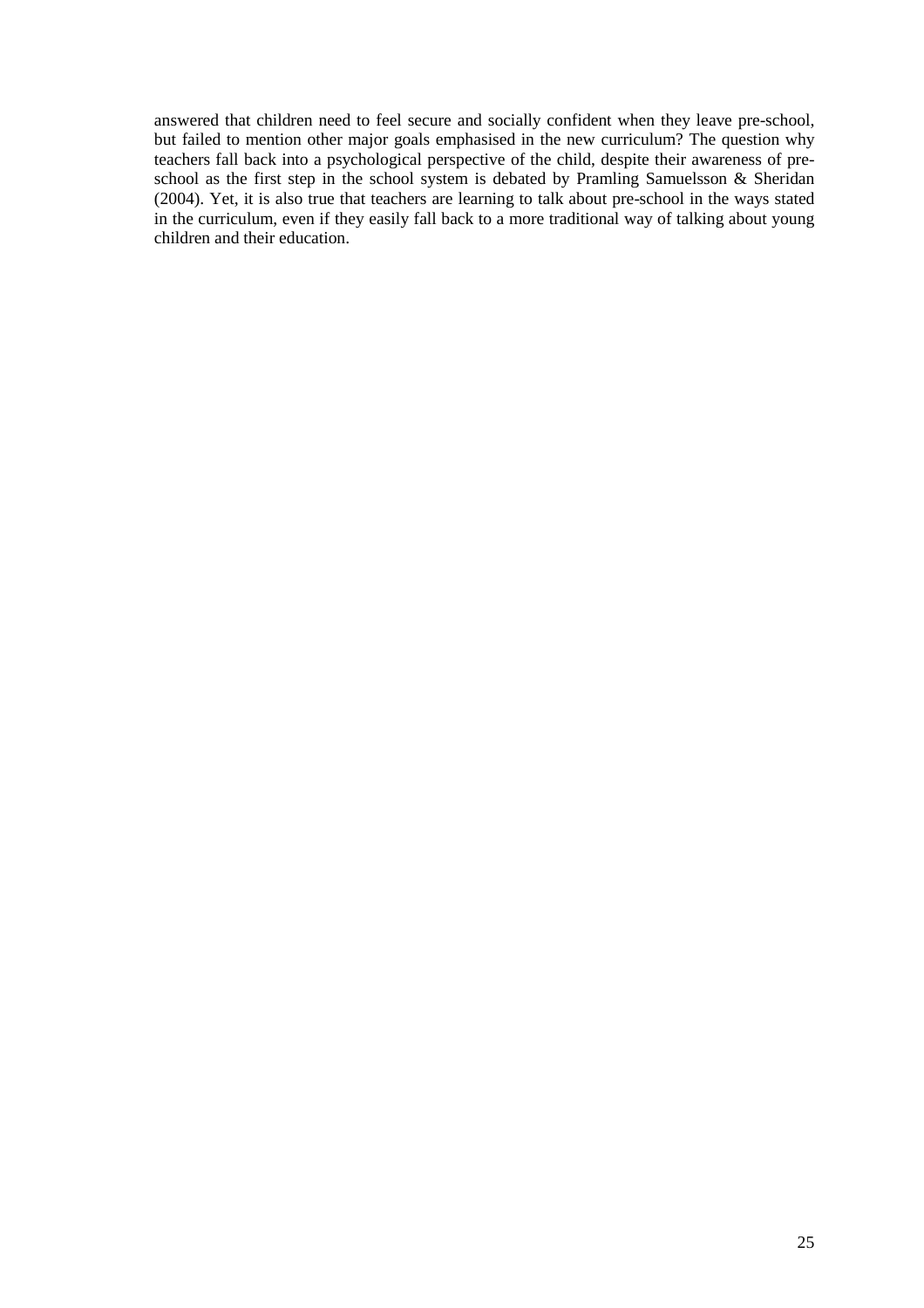answered that children need to feel secure and socially confident when they leave pre-school, but failed to mention other major goals emphasised in the new curriculum? The question why teachers fall back into a psychological perspective of the child, despite their awareness of preschool as the first step in the school system is debated by Pramling Samuelsson  $\&$  Sheridan (2004). Yet, it is also true that teachers are learning to talk about pre-school in the ways stated in the curriculum, even if they easily fall back to a more traditional way of talking about young children and their education.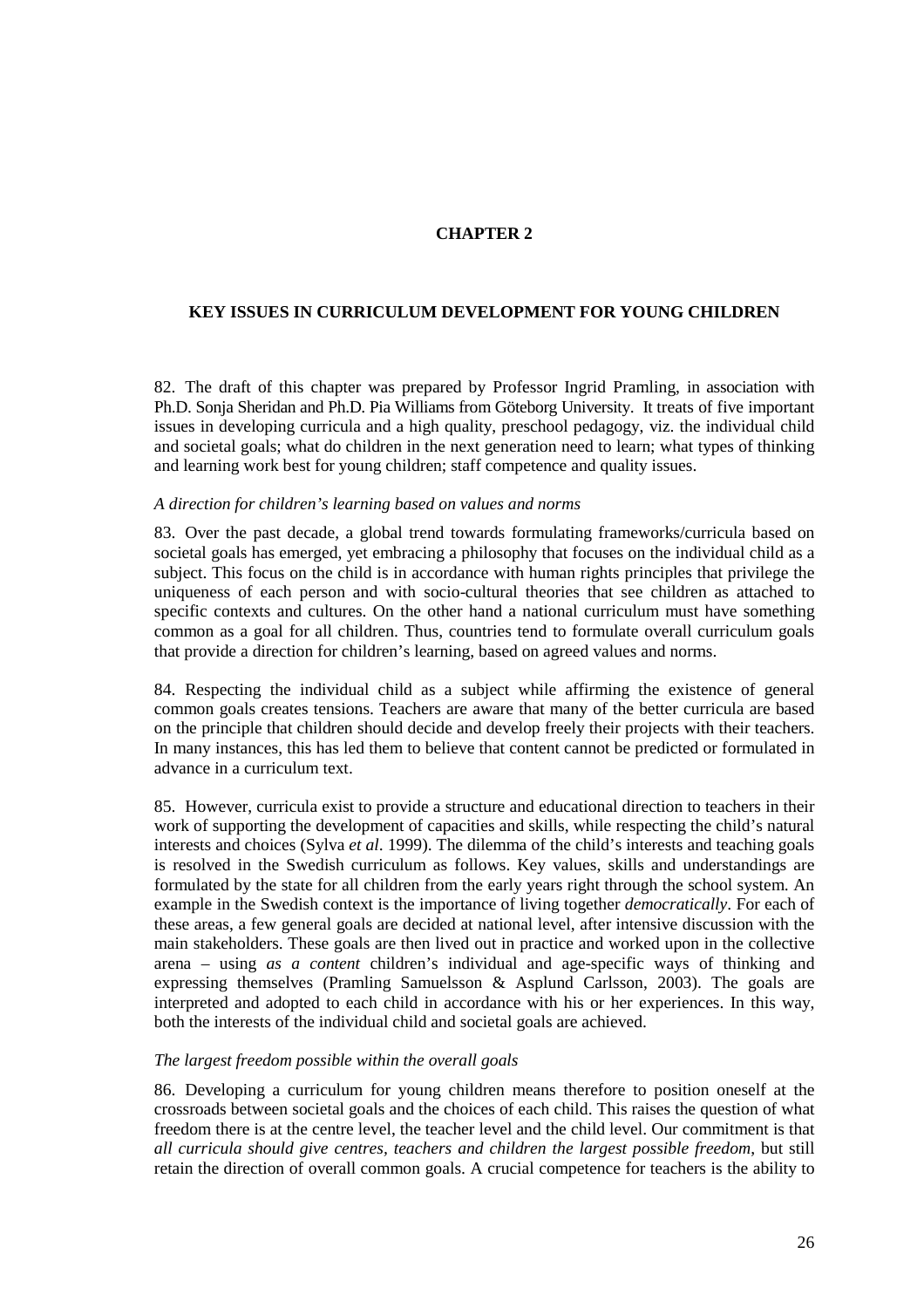# **CHAPTER 2**

## **KEY ISSUES IN CURRICULUM DEVELOPMENT FOR YOUNG CHILDREN**

82. The draft of this chapter was prepared by Professor Ingrid Pramling, in association with Ph.D. Sonja Sheridan and Ph.D. Pia Williams from Göteborg University. It treats of five important issues in developing curricula and a high quality, preschool pedagogy, viz. the individual child and societal goals; what do children in the next generation need to learn; what types of thinking and learning work best for young children; staff competence and quality issues.

#### *A direction for children's learning based on values and norms*

83. Over the past decade, a global trend towards formulating frameworks/curricula based on societal goals has emerged, yet embracing a philosophy that focuses on the individual child as a subject. This focus on the child is in accordance with human rights principles that privilege the uniqueness of each person and with socio-cultural theories that see children as attached to specific contexts and cultures. On the other hand a national curriculum must have something common as a goal for all children. Thus, countries tend to formulate overall curriculum goals that provide a direction for children's learning, based on agreed values and norms.

84. Respecting the individual child as a subject while affirming the existence of general common goals creates tensions. Teachers are aware that many of the better curricula are based on the principle that children should decide and develop freely their projects with their teachers. In many instances, this has led them to believe that content cannot be predicted or formulated in advance in a curriculum text.

85. However, curricula exist to provide a structure and educational direction to teachers in their work of supporting the development of capacities and skills, while respecting the child's natural interests and choices (Sylva *et al*. 1999). The dilemma of the child's interests and teaching goals is resolved in the Swedish curriculum as follows. Key values, skills and understandings are formulated by the state for all children from the early years right through the school system. An example in the Swedish context is the importance of living together *democratically*. For each of these areas, a few general goals are decided at national level, after intensive discussion with the main stakeholders. These goals are then lived out in practice and worked upon in the collective arena – using *as a content* children's individual and age-specific ways of thinking and expressing themselves (Pramling Samuelsson & Asplund Carlsson, 2003). The goals are interpreted and adopted to each child in accordance with his or her experiences. In this way, both the interests of the individual child and societal goals are achieved.

#### *The largest freedom possible within the overall goals*

86. Developing a curriculum for young children means therefore to position oneself at the crossroads between societal goals and the choices of each child. This raises the question of what freedom there is at the centre level, the teacher level and the child level. Our commitment is that *all curricula should give centres, teachers and children the largest possible freedom*, but still retain the direction of overall common goals. A crucial competence for teachers is the ability to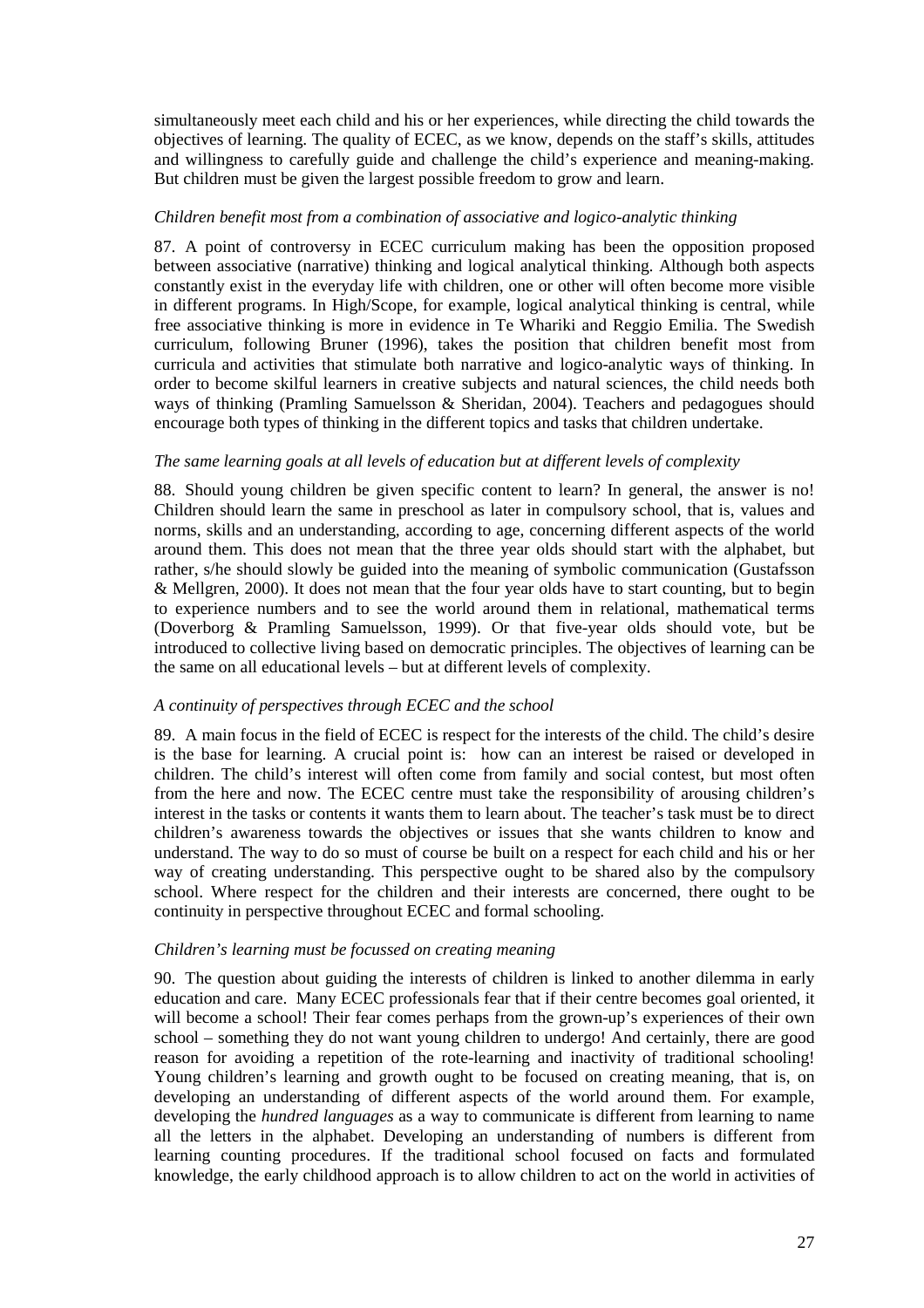simultaneously meet each child and his or her experiences, while directing the child towards the objectives of learning. The quality of ECEC, as we know, depends on the staff's skills, attitudes and willingness to carefully guide and challenge the child's experience and meaning-making. But children must be given the largest possible freedom to grow and learn.

# *Children benefit most from a combination of associative and logico-analytic thinking*

87. A point of controversy in ECEC curriculum making has been the opposition proposed between associative (narrative) thinking and logical analytical thinking. Although both aspects constantly exist in the everyday life with children, one or other will often become more visible in different programs. In High/Scope, for example, logical analytical thinking is central, while free associative thinking is more in evidence in Te Whariki and Reggio Emilia. The Swedish curriculum, following Bruner (1996), takes the position that children benefit most from curricula and activities that stimulate both narrative and logico-analytic ways of thinking. In order to become skilful learners in creative subjects and natural sciences, the child needs both ways of thinking (Pramling Samuelsson & Sheridan, 2004). Teachers and pedagogues should encourage both types of thinking in the different topics and tasks that children undertake.

# *The same learning goals at all levels of education but at different levels of complexity*

88. Should young children be given specific content to learn? In general, the answer is no! Children should learn the same in preschool as later in compulsory school, that is, values and norms, skills and an understanding, according to age, concerning different aspects of the world around them. This does not mean that the three year olds should start with the alphabet, but rather, s/he should slowly be guided into the meaning of symbolic communication (Gustafsson & Mellgren, 2000). It does not mean that the four year olds have to start counting, but to begin to experience numbers and to see the world around them in relational, mathematical terms (Doverborg & Pramling Samuelsson, 1999). Or that five-year olds should vote, but be introduced to collective living based on democratic principles. The objectives of learning can be the same on all educational levels – but at different levels of complexity.

# *A continuity of perspectives through ECEC and the school*

89. A main focus in the field of ECEC is respect for the interests of the child. The child's desire is the base for learning. A crucial point is: how can an interest be raised or developed in children. The child's interest will often come from family and social contest, but most often from the here and now. The ECEC centre must take the responsibility of arousing children's interest in the tasks or contents it wants them to learn about. The teacher's task must be to direct children's awareness towards the objectives or issues that she wants children to know and understand. The way to do so must of course be built on a respect for each child and his or her way of creating understanding. This perspective ought to be shared also by the compulsory school. Where respect for the children and their interests are concerned, there ought to be continuity in perspective throughout ECEC and formal schooling.

#### *Children's learning must be focussed on creating meaning*

90. The question about guiding the interests of children is linked to another dilemma in early education and care. Many ECEC professionals fear that if their centre becomes goal oriented, it will become a school! Their fear comes perhaps from the grown-up's experiences of their own school – something they do not want young children to undergo! And certainly, there are good reason for avoiding a repetition of the rote-learning and inactivity of traditional schooling! Young children's learning and growth ought to be focused on creating meaning, that is, on developing an understanding of different aspects of the world around them. For example, developing the *hundred languages* as a way to communicate is different from learning to name all the letters in the alphabet. Developing an understanding of numbers is different from learning counting procedures. If the traditional school focused on facts and formulated knowledge, the early childhood approach is to allow children to act on the world in activities of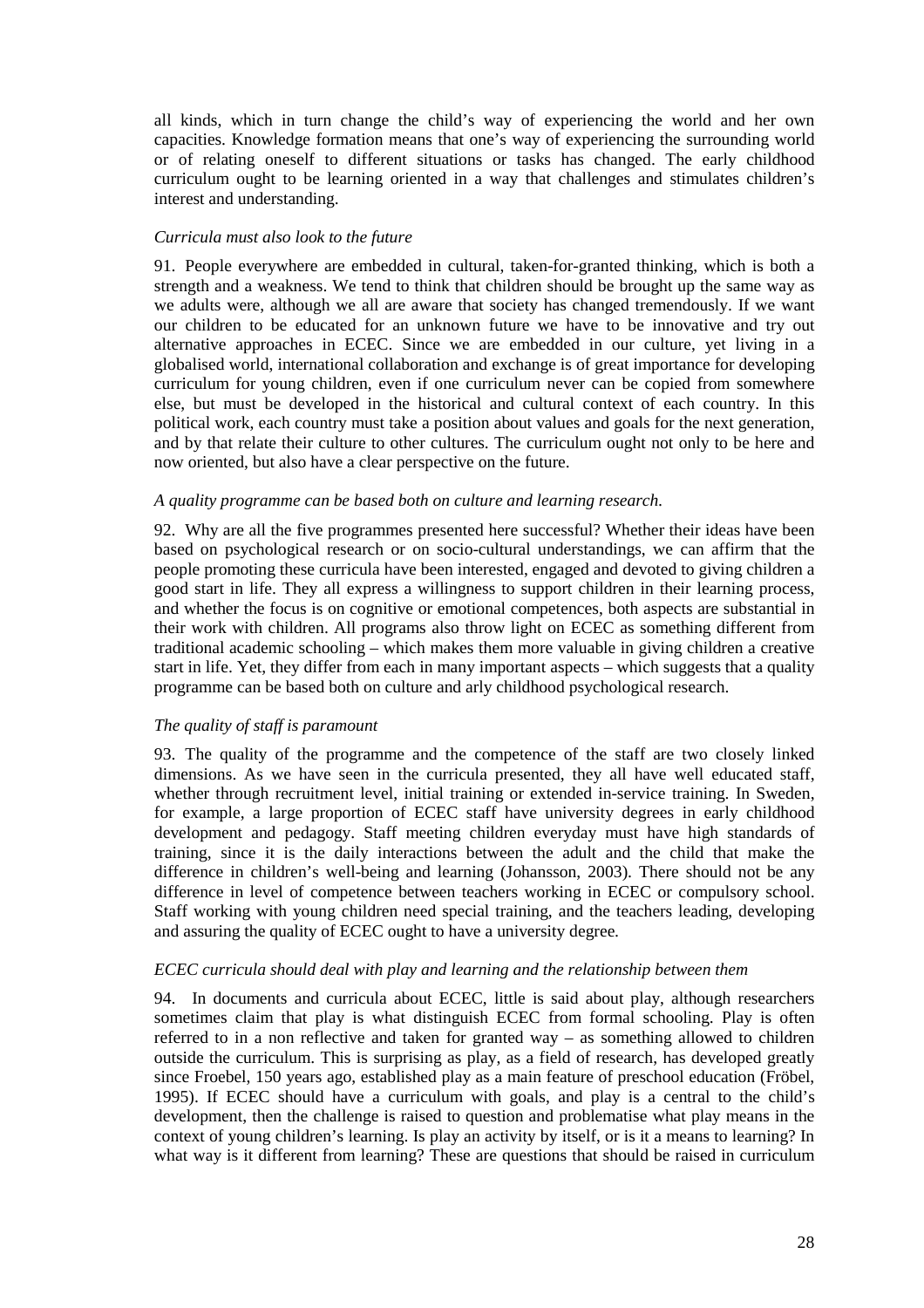all kinds, which in turn change the child's way of experiencing the world and her own capacities. Knowledge formation means that one's way of experiencing the surrounding world or of relating oneself to different situations or tasks has changed. The early childhood curriculum ought to be learning oriented in a way that challenges and stimulates children's interest and understanding.

# *Curricula must also look to the future*

91. People everywhere are embedded in cultural, taken-for-granted thinking, which is both a strength and a weakness. We tend to think that children should be brought up the same way as we adults were, although we all are aware that society has changed tremendously. If we want our children to be educated for an unknown future we have to be innovative and try out alternative approaches in ECEC. Since we are embedded in our culture, yet living in a globalised world, international collaboration and exchange is of great importance for developing curriculum for young children, even if one curriculum never can be copied from somewhere else, but must be developed in the historical and cultural context of each country. In this political work, each country must take a position about values and goals for the next generation, and by that relate their culture to other cultures. The curriculum ought not only to be here and now oriented, but also have a clear perspective on the future.

#### *A quality programme can be based both on culture and learning research.*

92. Why are all the five programmes presented here successful? Whether their ideas have been based on psychological research or on socio-cultural understandings, we can affirm that the people promoting these curricula have been interested, engaged and devoted to giving children a good start in life. They all express a willingness to support children in their learning process, and whether the focus is on cognitive or emotional competences, both aspects are substantial in their work with children. All programs also throw light on ECEC as something different from traditional academic schooling – which makes them more valuable in giving children a creative start in life. Yet, they differ from each in many important aspects – which suggests that a quality programme can be based both on culture and arly childhood psychological research.

#### *The quality of staff is paramount*

93. The quality of the programme and the competence of the staff are two closely linked dimensions. As we have seen in the curricula presented, they all have well educated staff, whether through recruitment level, initial training or extended in-service training. In Sweden, for example, a large proportion of ECEC staff have university degrees in early childhood development and pedagogy. Staff meeting children everyday must have high standards of training, since it is the daily interactions between the adult and the child that make the difference in children's well-being and learning (Johansson, 2003). There should not be any difference in level of competence between teachers working in ECEC or compulsory school. Staff working with young children need special training, and the teachers leading, developing and assuring the quality of ECEC ought to have a university degree*.*

#### *ECEC curricula should deal with play and learning and the relationship between them*

94. In documents and curricula about ECEC, little is said about play, although researchers sometimes claim that play is what distinguish ECEC from formal schooling. Play is often referred to in a non reflective and taken for granted way – as something allowed to children outside the curriculum. This is surprising as play, as a field of research, has developed greatly since Froebel, 150 years ago, established play as a main feature of preschool education (Fröbel, 1995). If ECEC should have a curriculum with goals, and play is a central to the child's development, then the challenge is raised to question and problematise what play means in the context of young children's learning. Is play an activity by itself, or is it a means to learning? In what way is it different from learning? These are questions that should be raised in curriculum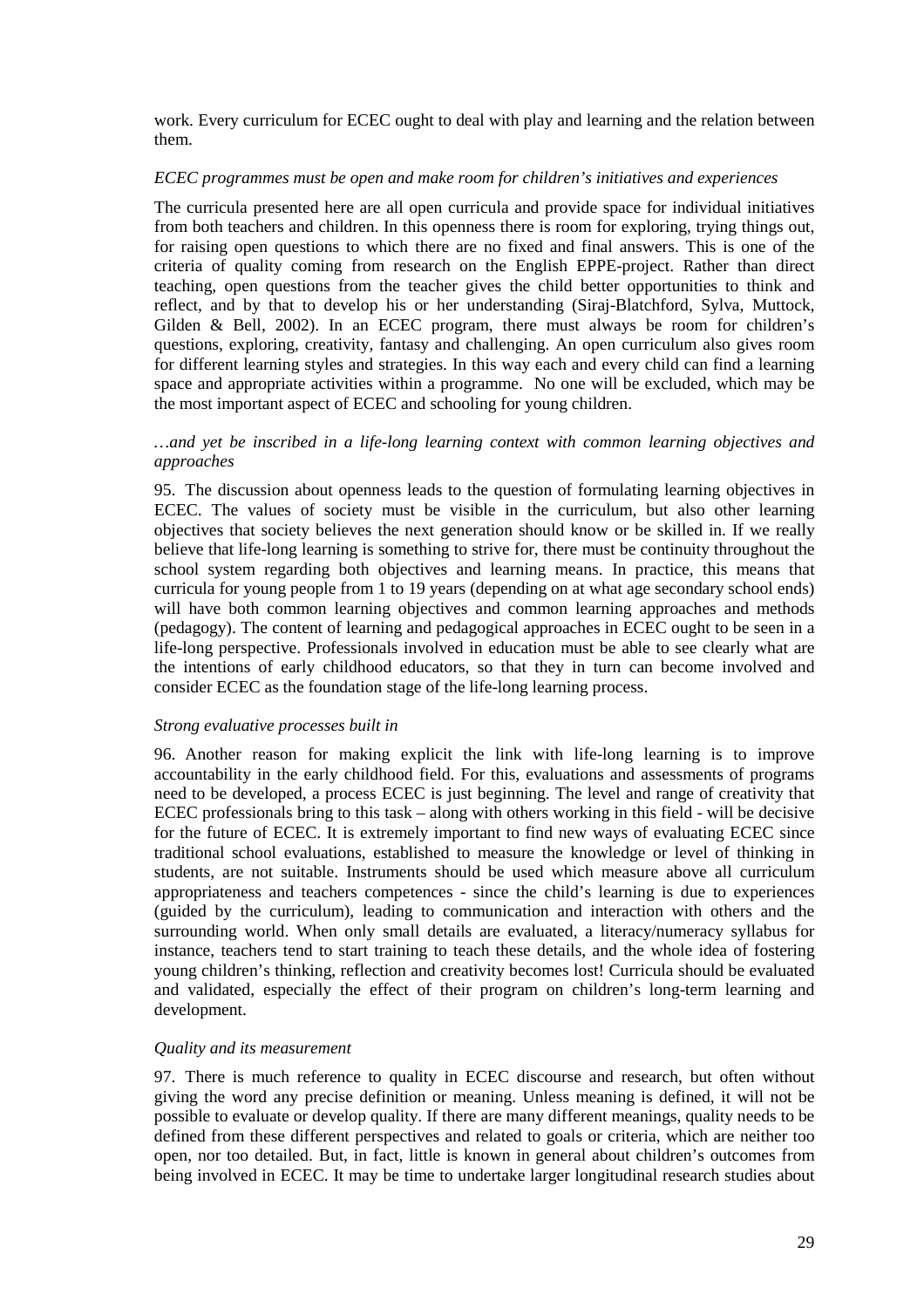work. Every curriculum for ECEC ought to deal with play and learning and the relation between them.

#### *ECEC programmes must be open and make room for children's initiatives and experiences*

The curricula presented here are all open curricula and provide space for individual initiatives from both teachers and children. In this openness there is room for exploring, trying things out, for raising open questions to which there are no fixed and final answers. This is one of the criteria of quality coming from research on the English EPPE-project. Rather than direct teaching, open questions from the teacher gives the child better opportunities to think and reflect, and by that to develop his or her understanding (Siraj-Blatchford, Sylva, Muttock, Gilden & Bell, 2002). In an ECEC program, there must always be room for children's questions, exploring, creativity, fantasy and challenging. An open curriculum also gives room for different learning styles and strategies. In this way each and every child can find a learning space and appropriate activities within a programme. No one will be excluded, which may be the most important aspect of ECEC and schooling for young children.

# *…and yet be inscribed in a life-long learning context with common learning objectives and approaches*

95. The discussion about openness leads to the question of formulating learning objectives in ECEC. The values of society must be visible in the curriculum, but also other learning objectives that society believes the next generation should know or be skilled in. If we really believe that life-long learning is something to strive for, there must be continuity throughout the school system regarding both objectives and learning means. In practice, this means that curricula for young people from 1 to 19 years (depending on at what age secondary school ends) will have both common learning objectives and common learning approaches and methods (pedagogy). The content of learning and pedagogical approaches in ECEC ought to be seen in a life-long perspective. Professionals involved in education must be able to see clearly what are the intentions of early childhood educators, so that they in turn can become involved and consider ECEC as the foundation stage of the life-long learning process.

#### *Strong evaluative processes built in*

96. Another reason for making explicit the link with life-long learning is to improve accountability in the early childhood field. For this, evaluations and assessments of programs need to be developed, a process ECEC is just beginning. The level and range of creativity that ECEC professionals bring to this task – along with others working in this field - will be decisive for the future of ECEC. It is extremely important to find new ways of evaluating ECEC since traditional school evaluations, established to measure the knowledge or level of thinking in students, are not suitable. Instruments should be used which measure above all curriculum appropriateness and teachers competences - since the child's learning is due to experiences (guided by the curriculum), leading to communication and interaction with others and the surrounding world. When only small details are evaluated, a literacy/numeracy syllabus for instance, teachers tend to start training to teach these details, and the whole idea of fostering young children's thinking, reflection and creativity becomes lost! Curricula should be evaluated and validated, especially the effect of their program on children's long-term learning and development.

#### *Quality and its measurement*

97. There is much reference to quality in ECEC discourse and research, but often without giving the word any precise definition or meaning. Unless meaning is defined, it will not be possible to evaluate or develop quality. If there are many different meanings, quality needs to be defined from these different perspectives and related to goals or criteria, which are neither too open, nor too detailed. But, in fact, little is known in general about children's outcomes from being involved in ECEC. It may be time to undertake larger longitudinal research studies about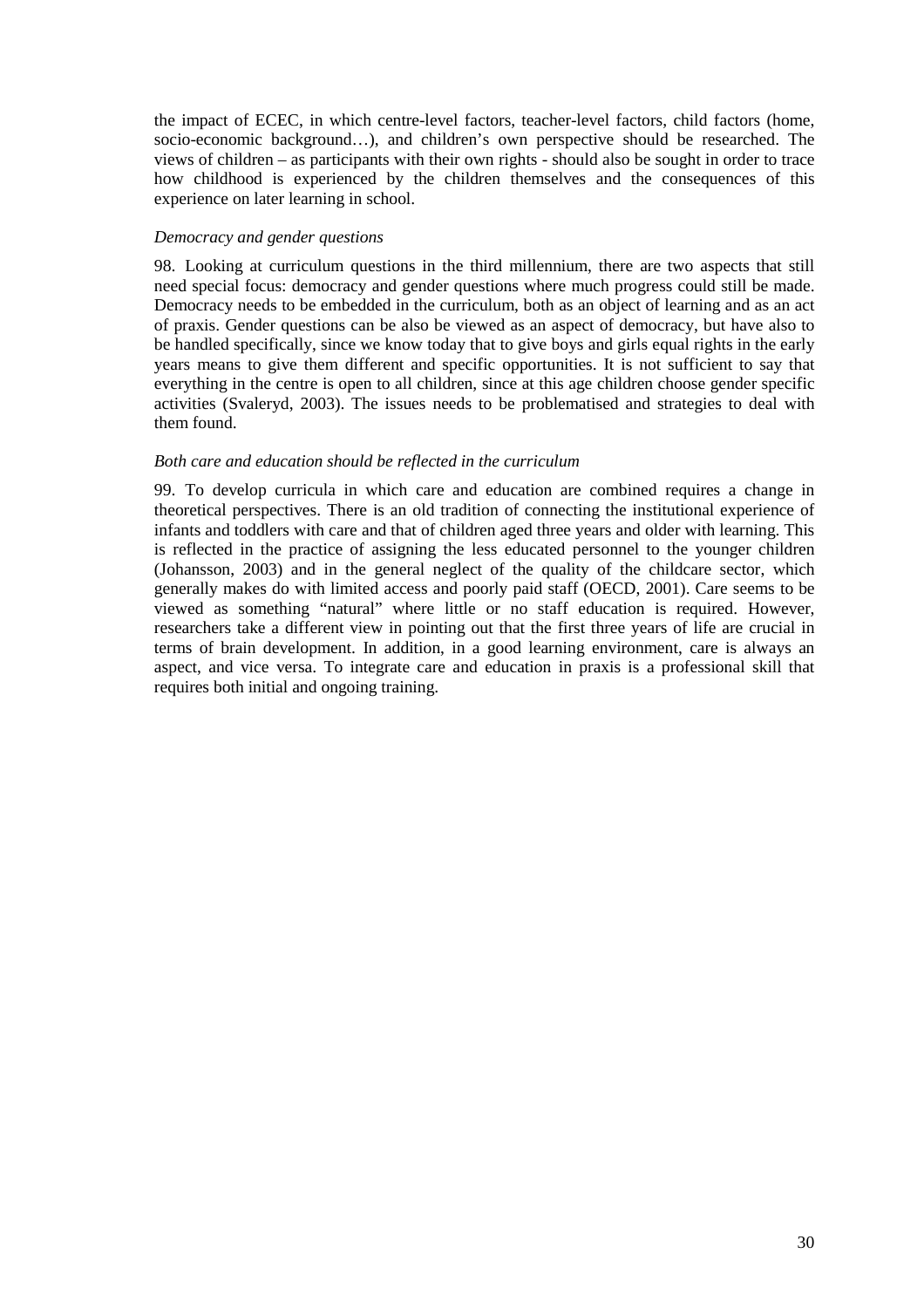the impact of ECEC, in which centre-level factors, teacher-level factors, child factors (home, socio-economic background…), and children's own perspective should be researched. The views of children – as participants with their own rights - should also be sought in order to trace how childhood is experienced by the children themselves and the consequences of this experience on later learning in school.

# *Democracy and gender questions*

98. Looking at curriculum questions in the third millennium, there are two aspects that still need special focus: democracy and gender questions where much progress could still be made. Democracy needs to be embedded in the curriculum, both as an object of learning and as an act of praxis. Gender questions can be also be viewed as an aspect of democracy, but have also to be handled specifically, since we know today that to give boys and girls equal rights in the early years means to give them different and specific opportunities. It is not sufficient to say that everything in the centre is open to all children, since at this age children choose gender specific activities (Svaleryd, 2003). The issues needs to be problematised and strategies to deal with them found.

# *Both care and education should be reflected in the curriculum*

99. To develop curricula in which care and education are combined requires a change in theoretical perspectives. There is an old tradition of connecting the institutional experience of infants and toddlers with care and that of children aged three years and older with learning. This is reflected in the practice of assigning the less educated personnel to the younger children (Johansson, 2003) and in the general neglect of the quality of the childcare sector, which generally makes do with limited access and poorly paid staff (OECD, 2001). Care seems to be viewed as something "natural" where little or no staff education is required. However, researchers take a different view in pointing out that the first three years of life are crucial in terms of brain development. In addition, in a good learning environment, care is always an aspect, and vice versa. To integrate care and education in praxis is a professional skill that requires both initial and ongoing training.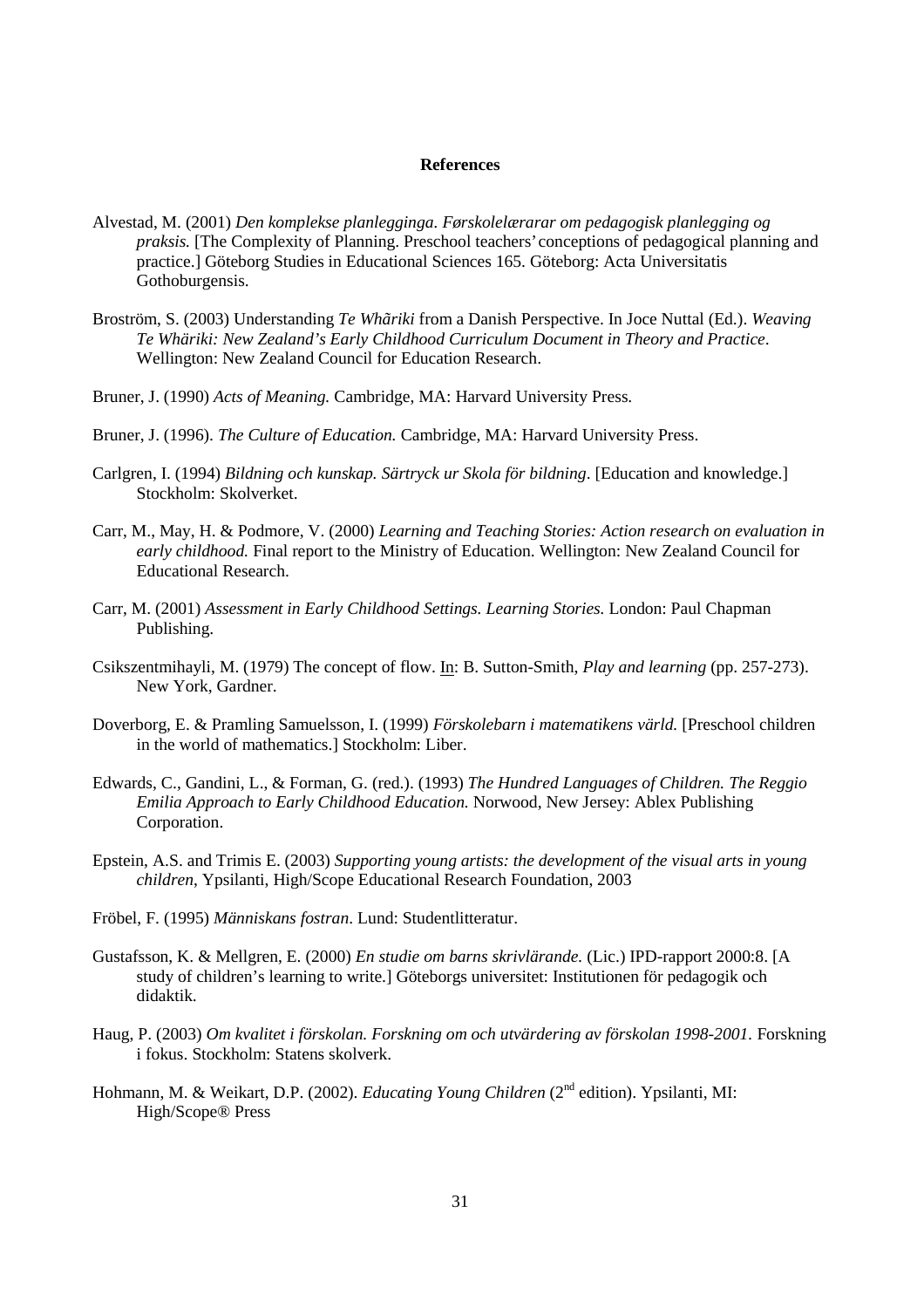#### **References**

- Alvestad, M. (2001) *Den komplekse planlegginga. Førskolelærarar om pedagogisk planlegging og praksis.* [The Complexity of Planning. Preschool teachers' conceptions of pedagogical planning and practice.] Göteborg Studies in Educational Sciences 165. Göteborg: Acta Universitatis Gothoburgensis.
- Broström, S. (2003) Understanding *Te Whãriki* from a Danish Perspective. In Joce Nuttal (Ed.). *Weaving Te Whäriki: New Zealand's Early Childhood Curriculum Document in Theory and Practice*. Wellington: New Zealand Council for Education Research.
- Bruner, J. (1990) *Acts of Meaning.* Cambridge, MA: Harvard University Press.
- Bruner, J. (1996). *The Culture of Education.* Cambridge, MA: Harvard University Press.
- Carlgren, I. (1994) *Bildning och kunskap. Särtryck ur Skola för bildning*. [Education and knowledge.] Stockholm: Skolverket.
- Carr, M., May, H. & Podmore, V. (2000) *Learning and Teaching Stories: Action research on evaluation in early childhood.* Final report to the Ministry of Education. Wellington: New Zealand Council for Educational Research.
- Carr, M. (2001) *Assessment in Early Childhood Settings. Learning Stories.* London: Paul Chapman Publishing.
- Csikszentmihayli, M. (1979) The concept of flow. In: B. Sutton-Smith, *Play and learning* (pp. 257-273). New York, Gardner.
- Doverborg, E. & Pramling Samuelsson, I. (1999) *Förskolebarn i matematikens värld.* [Preschool children in the world of mathematics.] Stockholm: Liber.
- Edwards, C., Gandini, L., & Forman, G. (red.). (1993) *The Hundred Languages of Children. The Reggio Emilia Approach to Early Childhood Education.* Norwood, New Jersey: Ablex Publishing Corporation.
- Epstein, A.S. and Trimis E. (2003) *Supporting young artists: the development of the visual arts in young children*, Ypsilanti, High/Scope Educational Research Foundation, 2003
- Fröbel, F. (1995) *Människans fostran*. Lund: Studentlitteratur.
- Gustafsson, K. & Mellgren, E. (2000) *En studie om barns skrivlärande.* (Lic.) IPD-rapport 2000:8. [A study of children's learning to write.] Göteborgs universitet: Institutionen för pedagogik och didaktik.
- Haug, P. (2003) *Om kvalitet i förskolan. Forskning om och utvärdering av förskolan 1998-2001.* Forskning i fokus. Stockholm: Statens skolverk.
- Hohmann, M. & Weikart, D.P. (2002). *Educating Young Children* (2<sup>nd</sup> edition). Ypsilanti, MI: High/Scope® Press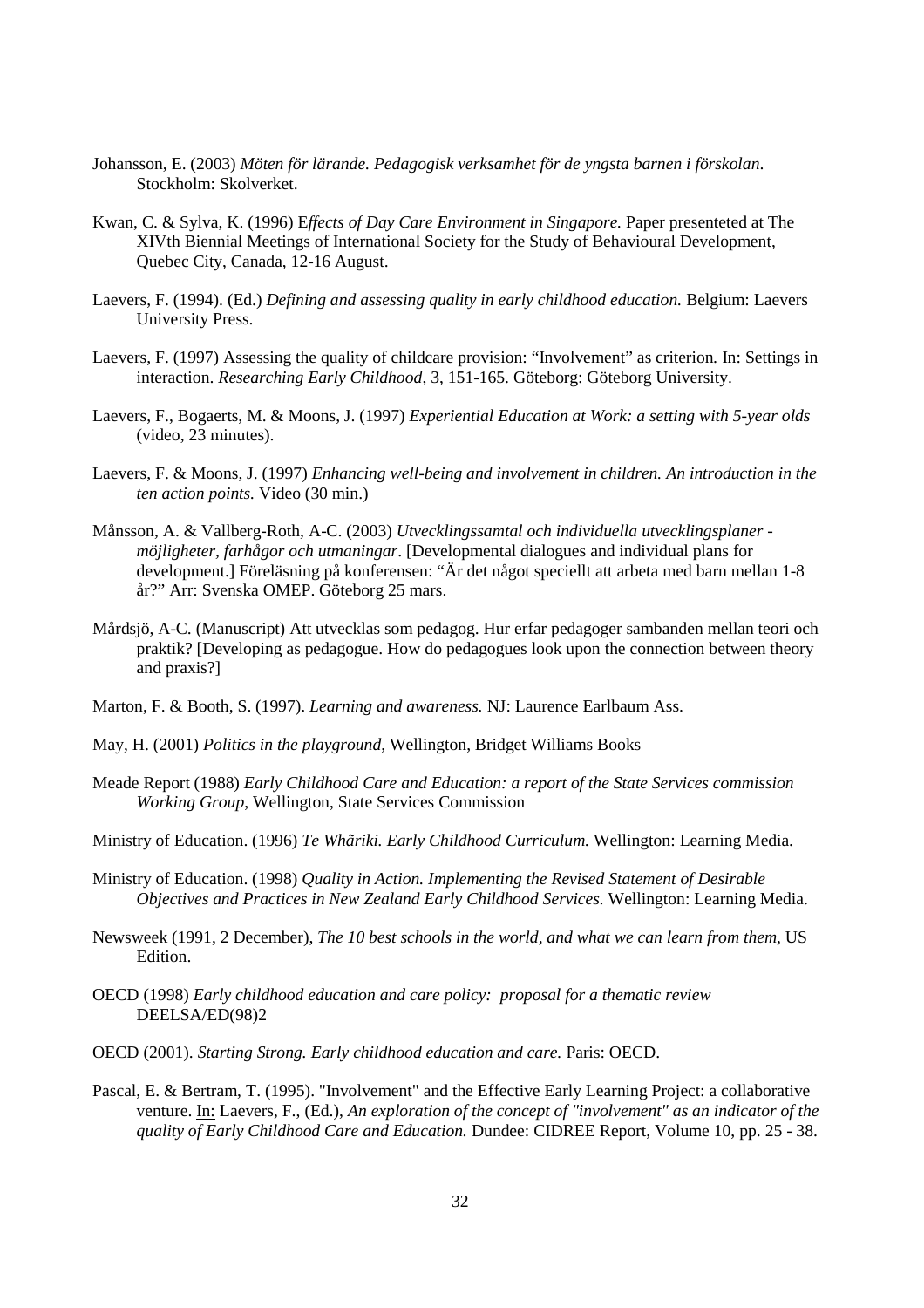- Johansson, E. (2003) *Möten för lärande. Pedagogisk verksamhet för de yngsta barnen i förskolan*. Stockholm: Skolverket.
- Kwan, C. & Sylva, K. (1996) E*ffects of Day Care Environment in Singapore.* Paper presenteted at The XIVth Biennial Meetings of International Society for the Study of Behavioural Development, Quebec City, Canada, 12-16 August.
- Laevers, F. (1994). (Ed.) *Defining and assessing quality in early childhood education.* Belgium: Laevers University Press.
- Laevers, F. (1997) Assessing the quality of childcare provision: "Involvement" as criterion*.* In: Settings in interaction. *Researching Early Childhood*, 3, 151-165. Göteborg: Göteborg University.
- Laevers, F., Bogaerts, M. & Moons, J. (1997) *Experiential Education at Work: a setting with 5-year olds* (video, 23 minutes).
- Laevers, F. & Moons, J. (1997) *Enhancing well-being and involvement in children. An introduction in the ten action points.* Video (30 min.)
- Månsson, A. & Vallberg-Roth, A-C. (2003) *Utvecklingssamtal och individuella utvecklingsplaner möjligheter, farhågor och utmaningar*. [Developmental dialogues and individual plans for development.] Föreläsning på konferensen: "Är det något speciellt att arbeta med barn mellan 1-8 år?" Arr: Svenska OMEP. Göteborg 25 mars.
- Mårdsjö, A-C. (Manuscript) Att utvecklas som pedagog. Hur erfar pedagoger sambanden mellan teori och praktik? [Developing as pedagogue. How do pedagogues look upon the connection between theory and praxis?]
- Marton, F. & Booth, S. (1997). *Learning and awareness.* NJ: Laurence Earlbaum Ass.
- May, H. (2001) *Politics in the playground*, Wellington, Bridget Williams Books
- Meade Report (1988) *Early Childhood Care and Education: a report of the State Services commission Working Group*, Wellington, State Services Commission
- Ministry of Education. (1996) *Te Whãriki. Early Childhood Curriculum.* Wellington: Learning Media.
- Ministry of Education. (1998) *Quality in Action. Implementing the Revised Statement of Desirable Objectives and Practices in New Zealand Early Childhood Services.* Wellington: Learning Media.
- Newsweek (1991, 2 December), *The 10 best schools in the world, and what we can learn from them*, US Edition.
- OECD (1998) *Early childhood education and care policy: proposal for a thematic review* DEELSA/ED(98)2
- OECD (2001). *Starting Strong. Early childhood education and care.* Paris: OECD.
- Pascal, E. & Bertram, T. (1995). "Involvement" and the Effective Early Learning Project: a collaborative venture. In: Laevers, F., (Ed.), *An exploration of the concept of "involvement" as an indicator of the quality of Early Childhood Care and Education.* Dundee: CIDREE Report, Volume 10, pp. 25 - 38.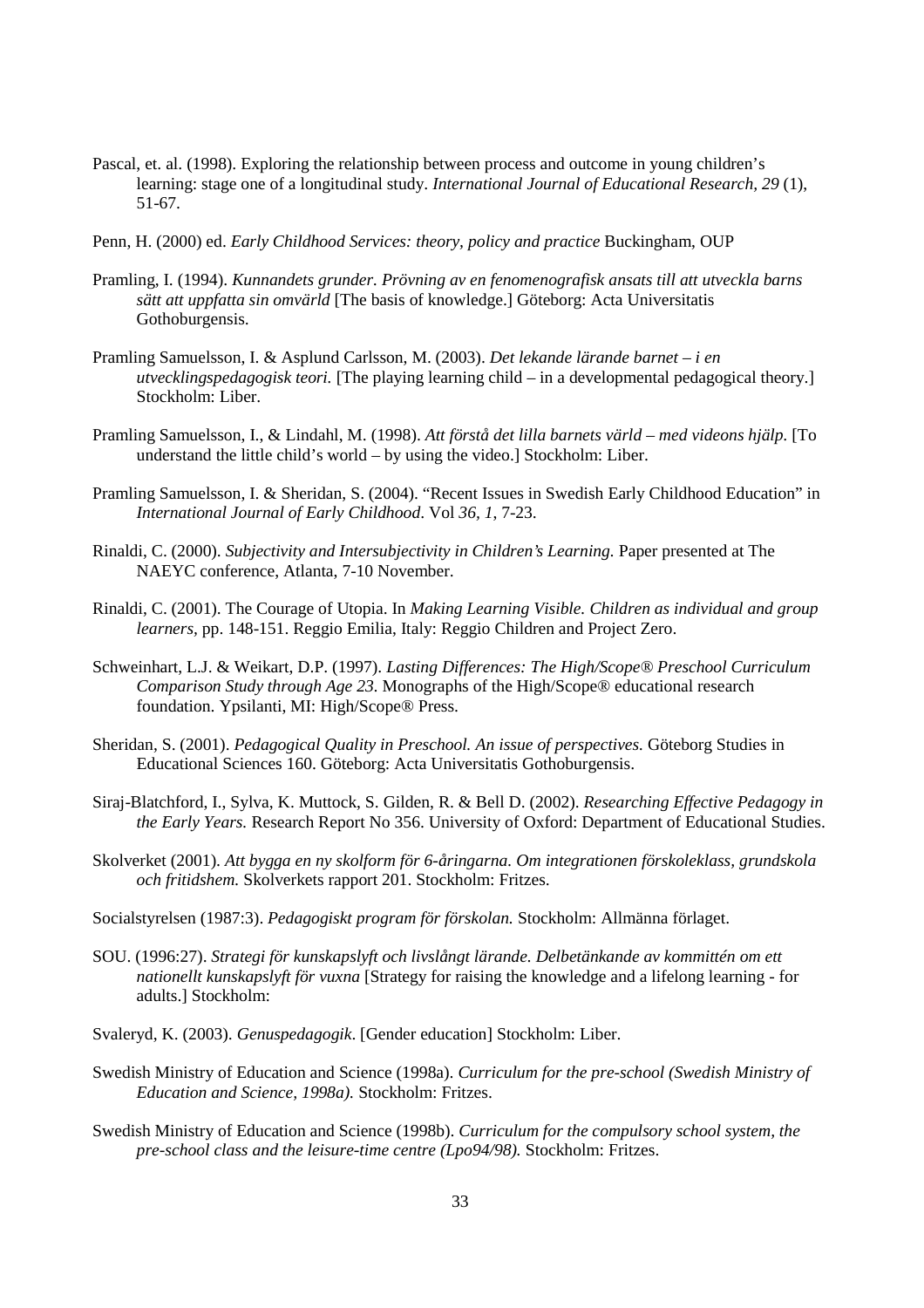- Pascal, et. al. (1998). Exploring the relationship between process and outcome in young children's learning: stage one of a longitudinal study. *International Journal of Educational Research, 29* (1), 51-67.
- Penn, H. (2000) ed. *Early Childhood Services: theory, policy and practice* Buckingham, OUP
- Pramling, I. (1994). *Kunnandets grunder. Prövning av en fenomenografisk ansats till att utveckla barns sätt att uppfatta sin omvärld* [The basis of knowledge.] Göteborg: Acta Universitatis Gothoburgensis.
- Pramling Samuelsson, I. & Asplund Carlsson, M. (2003). *Det lekande lärande barnet i en utvecklingspedagogisk teori.* [The playing learning child – in a developmental pedagogical theory.] Stockholm: Liber.
- Pramling Samuelsson, I., & Lindahl, M. (1998). *Att förstå det lilla barnets värld med videons hjälp.* [To understand the little child's world – by using the video.] Stockholm: Liber.
- Pramling Samuelsson, I. & Sheridan, S. (2004). "Recent Issues in Swedish Early Childhood Education" in *International Journal of Early Childhood*. Vol *36, 1*, 7-23.
- Rinaldi, C. (2000). *Subjectivity and Intersubjectivity in Children's Learning.* Paper presented at The NAEYC conference, Atlanta, 7-10 November.
- Rinaldi, C. (2001). The Courage of Utopia. In *Making Learning Visible. Children as individual and group learners,* pp. 148-151. Reggio Emilia, Italy: Reggio Children and Project Zero.
- Schweinhart, L.J. & Weikart, D.P. (1997). *Lasting Differences: The High/Scope® Preschool Curriculum Comparison Study through Age 23.* Monographs of the High/Scope® educational research foundation. Ypsilanti, MI: High/Scope® Press.
- Sheridan, S. (2001). *Pedagogical Quality in Preschool. An issue of perspectives.* Göteborg Studies in Educational Sciences 160. Göteborg: Acta Universitatis Gothoburgensis.
- Siraj-Blatchford, I., Sylva, K. Muttock, S. Gilden, R. & Bell D. (2002). *Researching Effective Pedagogy in the Early Years.* Research Report No 356. University of Oxford: Department of Educational Studies.
- Skolverket (2001). *Att bygga en ny skolform för 6-åringarna. Om integrationen förskoleklass, grundskola och fritidshem.* Skolverkets rapport 201. Stockholm: Fritzes.
- Socialstyrelsen (1987:3). *Pedagogiskt program för förskolan.* Stockholm: Allmänna förlaget.
- SOU. (1996:27). *Strategi för kunskapslyft och livslångt lärande. Delbetänkande av kommittén om ett nationellt kunskapslyft för vuxna* [Strategy for raising the knowledge and a lifelong learning - for adults.] Stockholm:
- Svaleryd, K. (2003). *Genuspedagogik*. [Gender education] Stockholm: Liber.
- Swedish Ministry of Education and Science (1998a). *Curriculum for the pre-school (Swedish Ministry of Education and Science, 1998a).* Stockholm: Fritzes.
- Swedish Ministry of Education and Science (1998b). *Curriculum for the compulsory school system, the pre-school class and the leisure-time centre (Lpo94/98).* Stockholm: Fritzes.